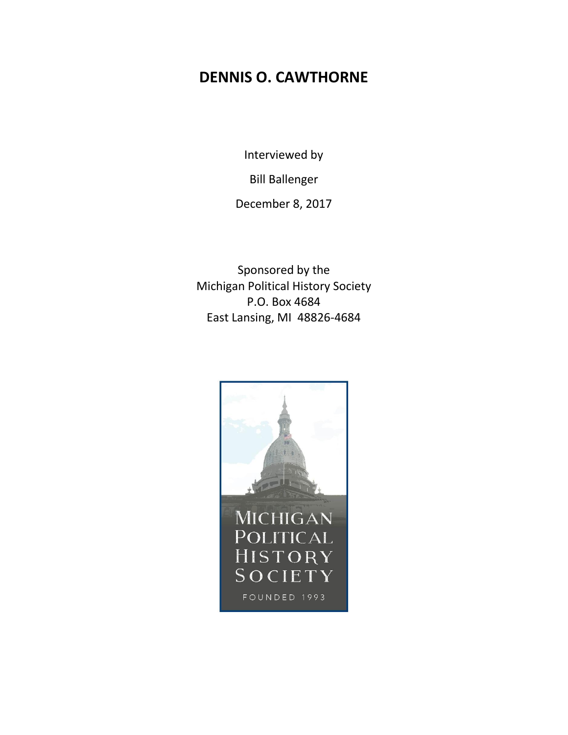# **DENNIS O. CAWTHORNE**

Interviewed by

Bill Ballenger

December 8, 2017

Sponsored by the Michigan Political History Society P.O. Box 4684 East Lansing, MI 48826-4684

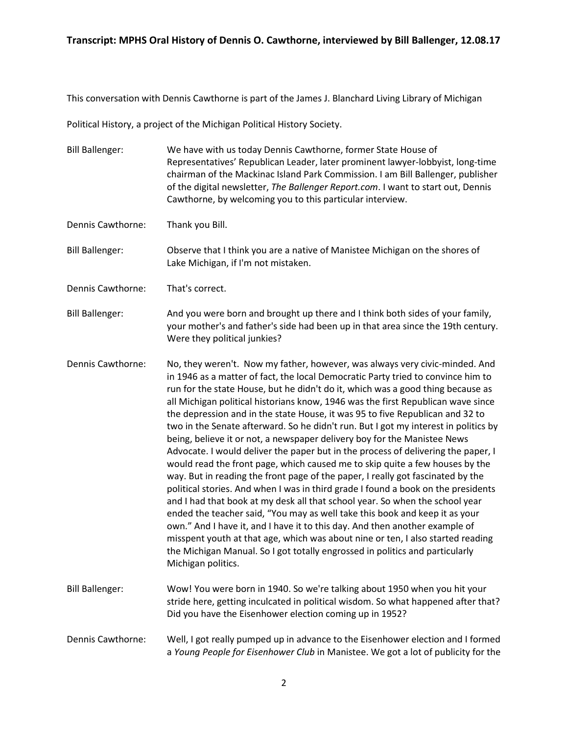This conversation with Dennis Cawthorne is part of the James J. Blanchard Living Library of Michigan

Political History, a project of the Michigan Political History Society.

- Bill Ballenger: We have with us today Dennis Cawthorne, former State House of Representatives' Republican Leader, later prominent lawyer-lobbyist, long-time chairman of the Mackinac Island Park Commission. I am Bill Ballenger, publisher of the digital newsletter, *The Ballenger Report.com*. I want to start out, Dennis Cawthorne, by welcoming you to this particular interview.
- Dennis Cawthorne: Thank you Bill.

Bill Ballenger: Observe that I think you are a native of Manistee Michigan on the shores of Lake Michigan, if I'm not mistaken.

Dennis Cawthorne: That's correct.

Bill Ballenger: And you were born and brought up there and I think both sides of your family, your mother's and father's side had been up in that area since the 19th century. Were they political junkies?

- Dennis Cawthorne: No, they weren't. Now my father, however, was always very civic-minded. And in 1946 as a matter of fact, the local Democratic Party tried to convince him to run for the state House, but he didn't do it, which was a good thing because as all Michigan political historians know, 1946 was the first Republican wave since the depression and in the state House, it was 95 to five Republican and 32 to two in the Senate afterward. So he didn't run. But I got my interest in politics by being, believe it or not, a newspaper delivery boy for the Manistee News Advocate. I would deliver the paper but in the process of delivering the paper, I would read the front page, which caused me to skip quite a few houses by the way. But in reading the front page of the paper, I really got fascinated by the political stories. And when I was in third grade I found a book on the presidents and I had that book at my desk all that school year. So when the school year ended the teacher said, "You may as well take this book and keep it as your own." And I have it, and I have it to this day. And then another example of misspent youth at that age, which was about nine or ten, I also started reading the Michigan Manual. So I got totally engrossed in politics and particularly Michigan politics.
- Bill Ballenger: Wow! You were born in 1940. So we're talking about 1950 when you hit your stride here, getting inculcated in political wisdom. So what happened after that? Did you have the Eisenhower election coming up in 1952?
- Dennis Cawthorne: Well, I got really pumped up in advance to the Eisenhower election and I formed a *Young People for Eisenhower Club* in Manistee. We got a lot of publicity for the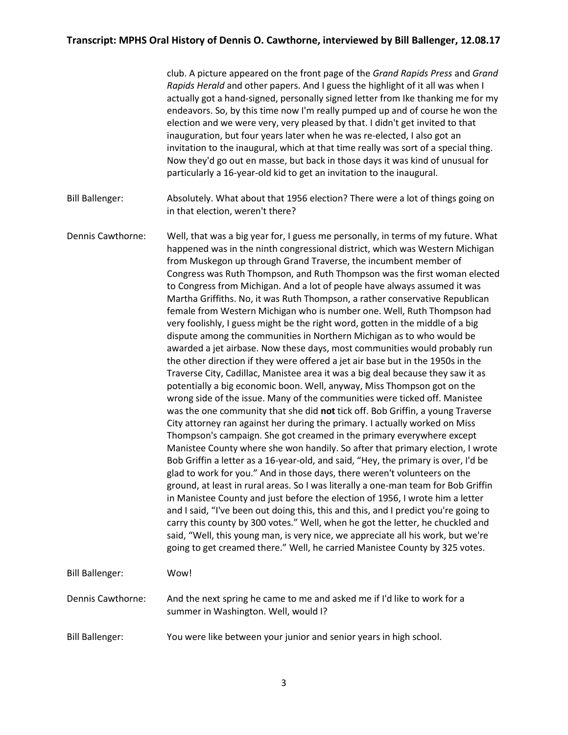|                        | club. A picture appeared on the front page of the Grand Rapids Press and Grand<br>Rapids Herald and other papers. And I guess the highlight of it all was when I<br>actually got a hand-signed, personally signed letter from Ike thanking me for my<br>endeavors. So, by this time now I'm really pumped up and of course he won the<br>election and we were very, very pleased by that. I didn't get invited to that<br>inauguration, but four years later when he was re-elected, I also got an<br>invitation to the inaugural, which at that time really was sort of a special thing.<br>Now they'd go out en masse, but back in those days it was kind of unusual for<br>particularly a 16-year-old kid to get an invitation to the inaugural.                                                                                                                                                                                                                                                                                                                                                                                                                                                                                                                                                                                                                                                                                                                                                                                                                                                                                                                                                                                                                                                                                                                                                                                                                                                                                                                                                                                                  |
|------------------------|------------------------------------------------------------------------------------------------------------------------------------------------------------------------------------------------------------------------------------------------------------------------------------------------------------------------------------------------------------------------------------------------------------------------------------------------------------------------------------------------------------------------------------------------------------------------------------------------------------------------------------------------------------------------------------------------------------------------------------------------------------------------------------------------------------------------------------------------------------------------------------------------------------------------------------------------------------------------------------------------------------------------------------------------------------------------------------------------------------------------------------------------------------------------------------------------------------------------------------------------------------------------------------------------------------------------------------------------------------------------------------------------------------------------------------------------------------------------------------------------------------------------------------------------------------------------------------------------------------------------------------------------------------------------------------------------------------------------------------------------------------------------------------------------------------------------------------------------------------------------------------------------------------------------------------------------------------------------------------------------------------------------------------------------------------------------------------------------------------------------------------------------------|
| <b>Bill Ballenger:</b> | Absolutely. What about that 1956 election? There were a lot of things going on<br>in that election, weren't there?                                                                                                                                                                                                                                                                                                                                                                                                                                                                                                                                                                                                                                                                                                                                                                                                                                                                                                                                                                                                                                                                                                                                                                                                                                                                                                                                                                                                                                                                                                                                                                                                                                                                                                                                                                                                                                                                                                                                                                                                                                   |
| Dennis Cawthorne:      | Well, that was a big year for, I guess me personally, in terms of my future. What<br>happened was in the ninth congressional district, which was Western Michigan<br>from Muskegon up through Grand Traverse, the incumbent member of<br>Congress was Ruth Thompson, and Ruth Thompson was the first woman elected<br>to Congress from Michigan. And a lot of people have always assumed it was<br>Martha Griffiths. No, it was Ruth Thompson, a rather conservative Republican<br>female from Western Michigan who is number one. Well, Ruth Thompson had<br>very foolishly, I guess might be the right word, gotten in the middle of a big<br>dispute among the communities in Northern Michigan as to who would be<br>awarded a jet airbase. Now these days, most communities would probably run<br>the other direction if they were offered a jet air base but in the 1950s in the<br>Traverse City, Cadillac, Manistee area it was a big deal because they saw it as<br>potentially a big economic boon. Well, anyway, Miss Thompson got on the<br>wrong side of the issue. Many of the communities were ticked off. Manistee<br>was the one community that she did not tick off. Bob Griffin, a young Traverse<br>City attorney ran against her during the primary. I actually worked on Miss<br>Thompson's campaign. She got creamed in the primary everywhere except<br>Manistee County where she won handily. So after that primary election, I wrote<br>Bob Griffin a letter as a 16-year-old, and said, "Hey, the primary is over, I'd be<br>glad to work for you." And in those days, there weren't volunteers on the<br>ground, at least in rural areas. So I was literally a one-man team for Bob Griffin<br>in Manistee County and just before the election of 1956, I wrote him a letter<br>and I said, "I've been out doing this, this and this, and I predict you're going to<br>carry this county by 300 votes." Well, when he got the letter, he chuckled and<br>said, "Well, this young man, is very nice, we appreciate all his work, but we're<br>going to get creamed there." Well, he carried Manistee County by 325 votes. |
| <b>Bill Ballenger:</b> | Wow!                                                                                                                                                                                                                                                                                                                                                                                                                                                                                                                                                                                                                                                                                                                                                                                                                                                                                                                                                                                                                                                                                                                                                                                                                                                                                                                                                                                                                                                                                                                                                                                                                                                                                                                                                                                                                                                                                                                                                                                                                                                                                                                                                 |
| Dennis Cawthorne:      | And the next spring he came to me and asked me if I'd like to work for a<br>summer in Washington. Well, would I?                                                                                                                                                                                                                                                                                                                                                                                                                                                                                                                                                                                                                                                                                                                                                                                                                                                                                                                                                                                                                                                                                                                                                                                                                                                                                                                                                                                                                                                                                                                                                                                                                                                                                                                                                                                                                                                                                                                                                                                                                                     |
| <b>Bill Ballenger:</b> | You were like between your junior and senior years in high school.                                                                                                                                                                                                                                                                                                                                                                                                                                                                                                                                                                                                                                                                                                                                                                                                                                                                                                                                                                                                                                                                                                                                                                                                                                                                                                                                                                                                                                                                                                                                                                                                                                                                                                                                                                                                                                                                                                                                                                                                                                                                                   |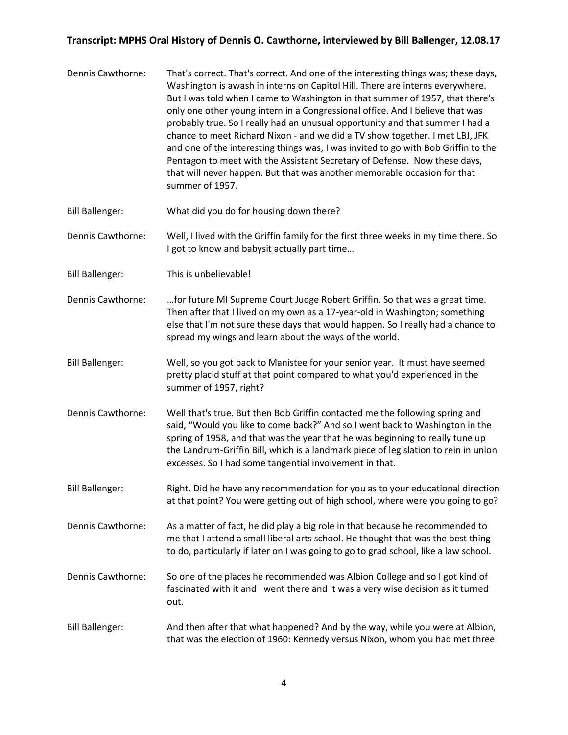| Dennis Cawthorne:      | That's correct. That's correct. And one of the interesting things was; these days,<br>Washington is awash in interns on Capitol Hill. There are interns everywhere.<br>But I was told when I came to Washington in that summer of 1957, that there's<br>only one other young intern in a Congressional office. And I believe that was<br>probably true. So I really had an unusual opportunity and that summer I had a<br>chance to meet Richard Nixon - and we did a TV show together. I met LBJ, JFK<br>and one of the interesting things was, I was invited to go with Bob Griffin to the<br>Pentagon to meet with the Assistant Secretary of Defense. Now these days,<br>that will never happen. But that was another memorable occasion for that<br>summer of 1957. |
|------------------------|--------------------------------------------------------------------------------------------------------------------------------------------------------------------------------------------------------------------------------------------------------------------------------------------------------------------------------------------------------------------------------------------------------------------------------------------------------------------------------------------------------------------------------------------------------------------------------------------------------------------------------------------------------------------------------------------------------------------------------------------------------------------------|
| <b>Bill Ballenger:</b> | What did you do for housing down there?                                                                                                                                                                                                                                                                                                                                                                                                                                                                                                                                                                                                                                                                                                                                  |
| Dennis Cawthorne:      | Well, I lived with the Griffin family for the first three weeks in my time there. So<br>I got to know and babysit actually part time                                                                                                                                                                                                                                                                                                                                                                                                                                                                                                                                                                                                                                     |
| <b>Bill Ballenger:</b> | This is unbelievable!                                                                                                                                                                                                                                                                                                                                                                                                                                                                                                                                                                                                                                                                                                                                                    |
| Dennis Cawthorne:      | for future MI Supreme Court Judge Robert Griffin. So that was a great time.<br>Then after that I lived on my own as a 17-year-old in Washington; something<br>else that I'm not sure these days that would happen. So I really had a chance to<br>spread my wings and learn about the ways of the world.                                                                                                                                                                                                                                                                                                                                                                                                                                                                 |
| <b>Bill Ballenger:</b> | Well, so you got back to Manistee for your senior year. It must have seemed<br>pretty placid stuff at that point compared to what you'd experienced in the<br>summer of 1957, right?                                                                                                                                                                                                                                                                                                                                                                                                                                                                                                                                                                                     |
| Dennis Cawthorne:      | Well that's true. But then Bob Griffin contacted me the following spring and<br>said, "Would you like to come back?" And so I went back to Washington in the<br>spring of 1958, and that was the year that he was beginning to really tune up<br>the Landrum-Griffin Bill, which is a landmark piece of legislation to rein in union<br>excesses. So I had some tangential involvement in that.                                                                                                                                                                                                                                                                                                                                                                          |
| <b>Bill Ballenger:</b> | Right. Did he have any recommendation for you as to your educational direction<br>at that point? You were getting out of high school, where were you going to go?                                                                                                                                                                                                                                                                                                                                                                                                                                                                                                                                                                                                        |
| Dennis Cawthorne:      | As a matter of fact, he did play a big role in that because he recommended to<br>me that I attend a small liberal arts school. He thought that was the best thing<br>to do, particularly if later on I was going to go to grad school, like a law school.                                                                                                                                                                                                                                                                                                                                                                                                                                                                                                                |
| Dennis Cawthorne:      | So one of the places he recommended was Albion College and so I got kind of<br>fascinated with it and I went there and it was a very wise decision as it turned<br>out.                                                                                                                                                                                                                                                                                                                                                                                                                                                                                                                                                                                                  |
| <b>Bill Ballenger:</b> | And then after that what happened? And by the way, while you were at Albion,<br>that was the election of 1960: Kennedy versus Nixon, whom you had met three                                                                                                                                                                                                                                                                                                                                                                                                                                                                                                                                                                                                              |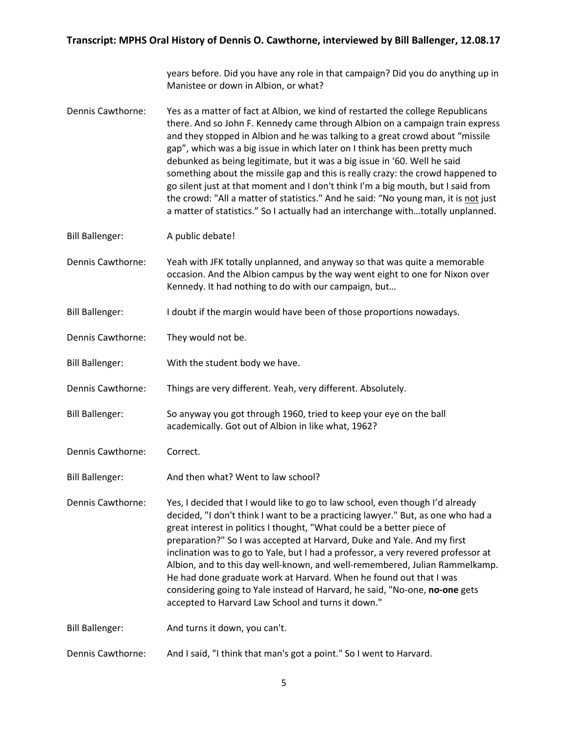years before. Did you have any role in that campaign? Did you do anything up in Manistee or down in Albion, or what?

- Dennis Cawthorne: Yes as a matter of fact at Albion, we kind of restarted the college Republicans there. And so John F. Kennedy came through Albion on a campaign train express and they stopped in Albion and he was talking to a great crowd about "missile gap", which was a big issue in which later on I think has been pretty much debunked as being legitimate, but it was a big issue in '60. Well he said something about the missile gap and this is really crazy: the crowd happened to go silent just at that moment and I don't think I'm a big mouth, but I said from the crowd: "All a matter of statistics." And he said: "No young man, it is not just a matter of statistics." So I actually had an interchange with…totally unplanned.
- Bill Ballenger: A public debate!
- Dennis Cawthorne: Yeah with JFK totally unplanned, and anyway so that was quite a memorable occasion. And the Albion campus by the way went eight to one for Nixon over Kennedy. It had nothing to do with our campaign, but…
- Bill Ballenger: I doubt if the margin would have been of those proportions nowadays.
- Dennis Cawthorne: They would not be.
- Bill Ballenger: With the student body we have.
- Dennis Cawthorne: Things are very different. Yeah, very different. Absolutely.
- Bill Ballenger: So anyway you got through 1960, tried to keep your eye on the ball academically. Got out of Albion in like what, 1962?
- Dennis Cawthorne: Correct.
- Bill Ballenger: And then what? Went to law school?
- Dennis Cawthorne: Yes, I decided that I would like to go to law school, even though I'd already decided, "I don't think I want to be a practicing lawyer." But, as one who had a great interest in politics I thought, "What could be a better piece of preparation?" So I was accepted at Harvard, Duke and Yale. And my first inclination was to go to Yale, but I had a professor, a very revered professor at Albion, and to this day well-known, and well-remembered, Julian Rammelkamp. He had done graduate work at Harvard. When he found out that I was considering going to Yale instead of Harvard, he said, "No-one, **no-one** gets accepted to Harvard Law School and turns it down."
- Bill Ballenger: And turns it down, you can't.
- Dennis Cawthorne: And I said, "I think that man's got a point." So I went to Harvard.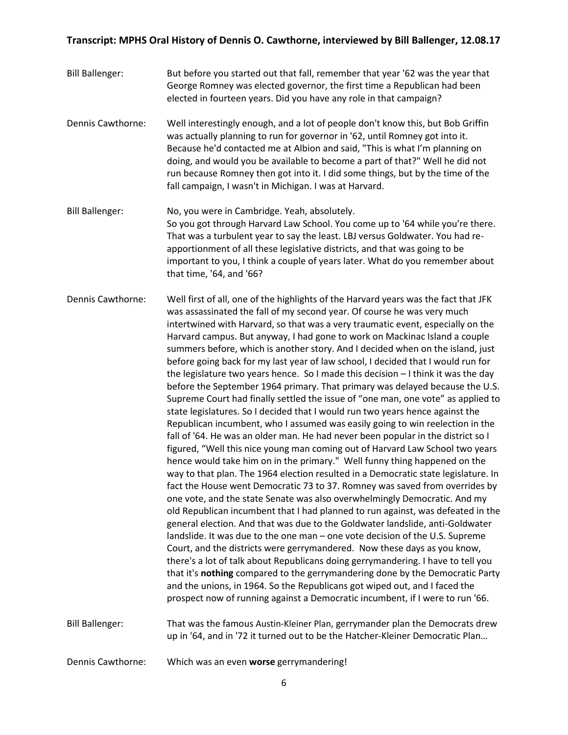- Bill Ballenger: But before you started out that fall, remember that year '62 was the year that George Romney was elected governor, the first time a Republican had been elected in fourteen years. Did you have any role in that campaign?
- Dennis Cawthorne: Well interestingly enough, and a lot of people don't know this, but Bob Griffin was actually planning to run for governor in '62, until Romney got into it. Because he'd contacted me at Albion and said, "This is what I'm planning on doing, and would you be available to become a part of that?" Well he did not run because Romney then got into it. I did some things, but by the time of the fall campaign, I wasn't in Michigan. I was at Harvard.
- Bill Ballenger: No, you were in Cambridge. Yeah, absolutely. So you got through Harvard Law School. You come up to '64 while you're there. That was a turbulent year to say the least. LBJ versus Goldwater. You had reapportionment of all these legislative districts, and that was going to be important to you, I think a couple of years later. What do you remember about that time, '64, and '66?

Dennis Cawthorne: Well first of all, one of the highlights of the Harvard years was the fact that JFK was assassinated the fall of my second year. Of course he was very much intertwined with Harvard, so that was a very traumatic event, especially on the Harvard campus. But anyway, I had gone to work on Mackinac Island a couple summers before, which is another story. And I decided when on the island, just before going back for my last year of law school, I decided that I would run for the legislature two years hence. So I made this decision – I think it was the day before the September 1964 primary. That primary was delayed because the U.S. Supreme Court had finally settled the issue of "one man, one vote" as applied to state legislatures. So I decided that I would run two years hence against the Republican incumbent, who I assumed was easily going to win reelection in the fall of '64. He was an older man. He had never been popular in the district so I figured, "Well this nice young man coming out of Harvard Law School two years hence would take him on in the primary." Well funny thing happened on the way to that plan. The 1964 election resulted in a Democratic state legislature. In fact the House went Democratic 73 to 37. Romney was saved from overrides by one vote, and the state Senate was also overwhelmingly Democratic. And my old Republican incumbent that I had planned to run against, was defeated in the general election. And that was due to the Goldwater landslide, anti-Goldwater landslide. It was due to the one man – one vote decision of the U.S. Supreme Court, and the districts were gerrymandered. Now these days as you know, there's a lot of talk about Republicans doing gerrymandering. I have to tell you that it's **nothing** compared to the gerrymandering done by the Democratic Party and the unions, in 1964. So the Republicans got wiped out, and I faced the prospect now of running against a Democratic incumbent, if I were to run '66.

Bill Ballenger: That was the famous Austin-Kleiner Plan, gerrymander plan the Democrats drew up in '64, and in '72 it turned out to be the Hatcher-Kleiner Democratic Plan…

Dennis Cawthorne: Which was an even **worse** gerrymandering!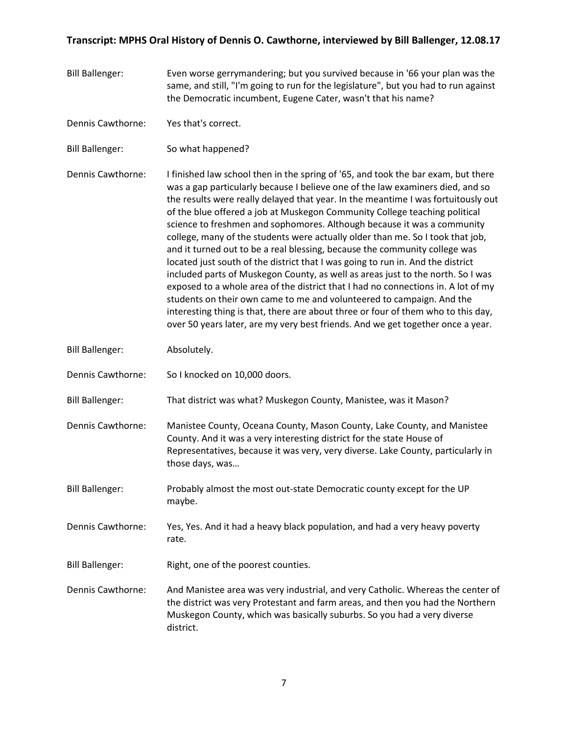| <b>Bill Ballenger:</b> | Even worse gerrymandering; but you survived because in '66 your plan was the<br>same, and still, "I'm going to run for the legislature", but you had to run against<br>the Democratic incumbent, Eugene Cater, wasn't that his name?                                                                                                                                                                                                                                                                                                                                                                                                                                                                                                                                                                                                                                                                                                                                                                                                                                                          |
|------------------------|-----------------------------------------------------------------------------------------------------------------------------------------------------------------------------------------------------------------------------------------------------------------------------------------------------------------------------------------------------------------------------------------------------------------------------------------------------------------------------------------------------------------------------------------------------------------------------------------------------------------------------------------------------------------------------------------------------------------------------------------------------------------------------------------------------------------------------------------------------------------------------------------------------------------------------------------------------------------------------------------------------------------------------------------------------------------------------------------------|
| Dennis Cawthorne:      | Yes that's correct.                                                                                                                                                                                                                                                                                                                                                                                                                                                                                                                                                                                                                                                                                                                                                                                                                                                                                                                                                                                                                                                                           |
| <b>Bill Ballenger:</b> | So what happened?                                                                                                                                                                                                                                                                                                                                                                                                                                                                                                                                                                                                                                                                                                                                                                                                                                                                                                                                                                                                                                                                             |
| Dennis Cawthorne:      | I finished law school then in the spring of '65, and took the bar exam, but there<br>was a gap particularly because I believe one of the law examiners died, and so<br>the results were really delayed that year. In the meantime I was fortuitously out<br>of the blue offered a job at Muskegon Community College teaching political<br>science to freshmen and sophomores. Although because it was a community<br>college, many of the students were actually older than me. So I took that job,<br>and it turned out to be a real blessing, because the community college was<br>located just south of the district that I was going to run in. And the district<br>included parts of Muskegon County, as well as areas just to the north. So I was<br>exposed to a whole area of the district that I had no connections in. A lot of my<br>students on their own came to me and volunteered to campaign. And the<br>interesting thing is that, there are about three or four of them who to this day,<br>over 50 years later, are my very best friends. And we get together once a year. |
| <b>Bill Ballenger:</b> | Absolutely.                                                                                                                                                                                                                                                                                                                                                                                                                                                                                                                                                                                                                                                                                                                                                                                                                                                                                                                                                                                                                                                                                   |
| Dennis Cawthorne:      | So I knocked on 10,000 doors.                                                                                                                                                                                                                                                                                                                                                                                                                                                                                                                                                                                                                                                                                                                                                                                                                                                                                                                                                                                                                                                                 |
| <b>Bill Ballenger:</b> | That district was what? Muskegon County, Manistee, was it Mason?                                                                                                                                                                                                                                                                                                                                                                                                                                                                                                                                                                                                                                                                                                                                                                                                                                                                                                                                                                                                                              |
| Dennis Cawthorne:      | Manistee County, Oceana County, Mason County, Lake County, and Manistee<br>County. And it was a very interesting district for the state House of<br>Representatives, because it was very, very diverse. Lake County, particularly in<br>those days, was                                                                                                                                                                                                                                                                                                                                                                                                                                                                                                                                                                                                                                                                                                                                                                                                                                       |
| <b>Bill Ballenger:</b> | Probably almost the most out-state Democratic county except for the UP<br>maybe.                                                                                                                                                                                                                                                                                                                                                                                                                                                                                                                                                                                                                                                                                                                                                                                                                                                                                                                                                                                                              |
| Dennis Cawthorne:      | Yes, Yes. And it had a heavy black population, and had a very heavy poverty<br>rate.                                                                                                                                                                                                                                                                                                                                                                                                                                                                                                                                                                                                                                                                                                                                                                                                                                                                                                                                                                                                          |
| <b>Bill Ballenger:</b> | Right, one of the poorest counties.                                                                                                                                                                                                                                                                                                                                                                                                                                                                                                                                                                                                                                                                                                                                                                                                                                                                                                                                                                                                                                                           |
| Dennis Cawthorne:      | And Manistee area was very industrial, and very Catholic. Whereas the center of<br>the district was very Protestant and farm areas, and then you had the Northern<br>Muskegon County, which was basically suburbs. So you had a very diverse<br>district.                                                                                                                                                                                                                                                                                                                                                                                                                                                                                                                                                                                                                                                                                                                                                                                                                                     |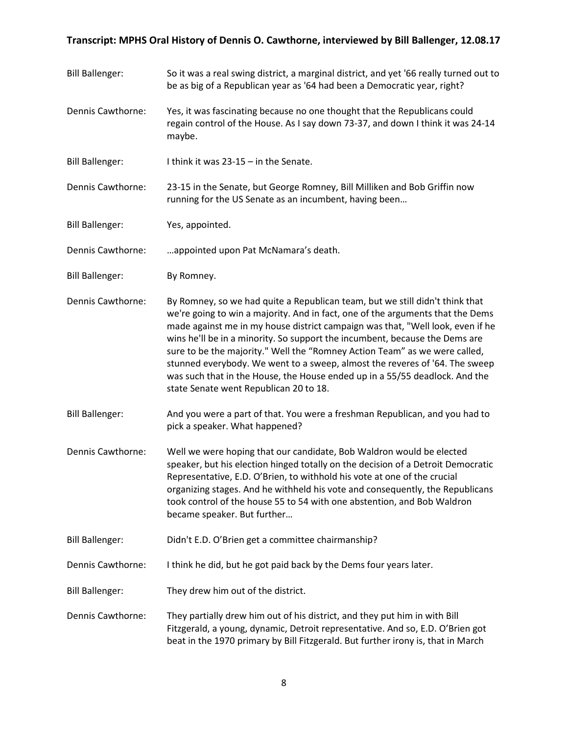Bill Ballenger: So it was a real swing district, a marginal district, and yet '66 really turned out to be as big of a Republican year as '64 had been a Democratic year, right? Dennis Cawthorne: Yes, it was fascinating because no one thought that the Republicans could regain control of the House. As I say down 73-37, and down I think it was 24-14 maybe. Bill Ballenger: I think it was 23-15 – in the Senate. Dennis Cawthorne: 23-15 in the Senate, but George Romney, Bill Milliken and Bob Griffin now running for the US Senate as an incumbent, having been… Bill Ballenger: Yes, appointed. Dennis Cawthorne: …appointed upon Pat McNamara's death. Bill Ballenger: By Romney. Dennis Cawthorne: By Romney, so we had quite a Republican team, but we still didn't think that we're going to win a majority. And in fact, one of the arguments that the Dems made against me in my house district campaign was that, "Well look, even if he wins he'll be in a minority. So support the incumbent, because the Dems are sure to be the majority." Well the "Romney Action Team" as we were called, stunned everybody. We went to a sweep, almost the reveres of '64. The sweep was such that in the House, the House ended up in a 55/55 deadlock. And the state Senate went Republican 20 to 18. Bill Ballenger: And you were a part of that. You were a freshman Republican, and you had to pick a speaker. What happened? Dennis Cawthorne: Well we were hoping that our candidate, Bob Waldron would be elected speaker, but his election hinged totally on the decision of a Detroit Democratic Representative, E.D. O'Brien, to withhold his vote at one of the crucial organizing stages. And he withheld his vote and consequently, the Republicans took control of the house 55 to 54 with one abstention, and Bob Waldron became speaker. But further… Bill Ballenger: Didn't E.D. O'Brien get a committee chairmanship? Dennis Cawthorne: I think he did, but he got paid back by the Dems four years later. Bill Ballenger: They drew him out of the district. Dennis Cawthorne: They partially drew him out of his district, and they put him in with Bill Fitzgerald, a young, dynamic, Detroit representative. And so, E.D. O'Brien got beat in the 1970 primary by Bill Fitzgerald. But further irony is, that in March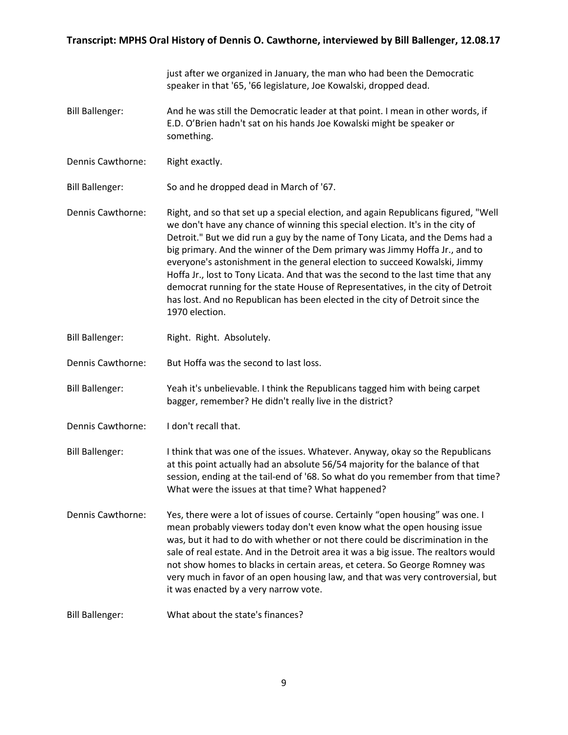|                        | just after we organized in January, the man who had been the Democratic<br>speaker in that '65, '66 legislature, Joe Kowalski, dropped dead.                                                                                                                                                                                                                                                                                                                                                                                                                                                                                                                                                 |
|------------------------|----------------------------------------------------------------------------------------------------------------------------------------------------------------------------------------------------------------------------------------------------------------------------------------------------------------------------------------------------------------------------------------------------------------------------------------------------------------------------------------------------------------------------------------------------------------------------------------------------------------------------------------------------------------------------------------------|
| <b>Bill Ballenger:</b> | And he was still the Democratic leader at that point. I mean in other words, if<br>E.D. O'Brien hadn't sat on his hands Joe Kowalski might be speaker or<br>something.                                                                                                                                                                                                                                                                                                                                                                                                                                                                                                                       |
| Dennis Cawthorne:      | Right exactly.                                                                                                                                                                                                                                                                                                                                                                                                                                                                                                                                                                                                                                                                               |
| <b>Bill Ballenger:</b> | So and he dropped dead in March of '67.                                                                                                                                                                                                                                                                                                                                                                                                                                                                                                                                                                                                                                                      |
| Dennis Cawthorne:      | Right, and so that set up a special election, and again Republicans figured, "Well<br>we don't have any chance of winning this special election. It's in the city of<br>Detroit." But we did run a guy by the name of Tony Licata, and the Dems had a<br>big primary. And the winner of the Dem primary was Jimmy Hoffa Jr., and to<br>everyone's astonishment in the general election to succeed Kowalski, Jimmy<br>Hoffa Jr., lost to Tony Licata. And that was the second to the last time that any<br>democrat running for the state House of Representatives, in the city of Detroit<br>has lost. And no Republican has been elected in the city of Detroit since the<br>1970 election. |
| <b>Bill Ballenger:</b> | Right. Right. Absolutely.                                                                                                                                                                                                                                                                                                                                                                                                                                                                                                                                                                                                                                                                    |
| Dennis Cawthorne:      | But Hoffa was the second to last loss.                                                                                                                                                                                                                                                                                                                                                                                                                                                                                                                                                                                                                                                       |
| <b>Bill Ballenger:</b> | Yeah it's unbelievable. I think the Republicans tagged him with being carpet<br>bagger, remember? He didn't really live in the district?                                                                                                                                                                                                                                                                                                                                                                                                                                                                                                                                                     |
| Dennis Cawthorne:      | I don't recall that.                                                                                                                                                                                                                                                                                                                                                                                                                                                                                                                                                                                                                                                                         |
| <b>Bill Ballenger:</b> | I think that was one of the issues. Whatever. Anyway, okay so the Republicans<br>at this point actually had an absolute 56/54 majority for the balance of that<br>session, ending at the tail-end of '68. So what do you remember from that time?<br>What were the issues at that time? What happened?                                                                                                                                                                                                                                                                                                                                                                                       |
| Dennis Cawthorne:      | Yes, there were a lot of issues of course. Certainly "open housing" was one. I<br>mean probably viewers today don't even know what the open housing issue<br>was, but it had to do with whether or not there could be discrimination in the<br>sale of real estate. And in the Detroit area it was a big issue. The realtors would<br>not show homes to blacks in certain areas, et cetera. So George Romney was<br>very much in favor of an open housing law, and that was very controversial, but<br>it was enacted by a very narrow vote.                                                                                                                                                 |
| <b>Bill Ballenger:</b> | What about the state's finances?                                                                                                                                                                                                                                                                                                                                                                                                                                                                                                                                                                                                                                                             |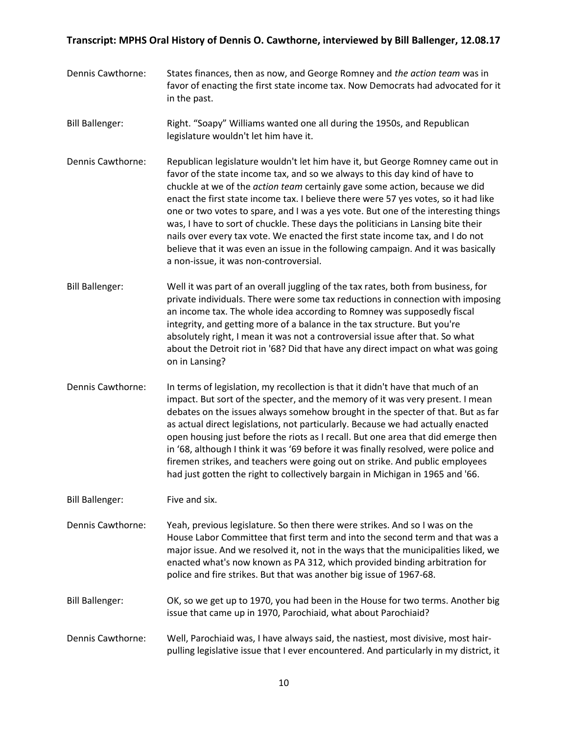- Dennis Cawthorne: States finances, then as now, and George Romney and *the action team* was in favor of enacting the first state income tax. Now Democrats had advocated for it in the past.
- Bill Ballenger: Right. "Soapy" Williams wanted one all during the 1950s, and Republican legislature wouldn't let him have it.
- Dennis Cawthorne: Republican legislature wouldn't let him have it, but George Romney came out in favor of the state income tax, and so we always to this day kind of have to chuckle at we of the *action team* certainly gave some action, because we did enact the first state income tax. I believe there were 57 yes votes, so it had like one or two votes to spare, and I was a yes vote. But one of the interesting things was, I have to sort of chuckle. These days the politicians in Lansing bite their nails over every tax vote. We enacted the first state income tax, and I do not believe that it was even an issue in the following campaign. And it was basically a non-issue, it was non-controversial.
- Bill Ballenger: Well it was part of an overall juggling of the tax rates, both from business, for private individuals. There were some tax reductions in connection with imposing an income tax. The whole idea according to Romney was supposedly fiscal integrity, and getting more of a balance in the tax structure. But you're absolutely right, I mean it was not a controversial issue after that. So what about the Detroit riot in '68? Did that have any direct impact on what was going on in Lansing?
- Dennis Cawthorne: In terms of legislation, my recollection is that it didn't have that much of an impact. But sort of the specter, and the memory of it was very present. I mean debates on the issues always somehow brought in the specter of that. But as far as actual direct legislations, not particularly. Because we had actually enacted open housing just before the riots as I recall. But one area that did emerge then in '68, although I think it was '69 before it was finally resolved, were police and firemen strikes, and teachers were going out on strike. And public employees had just gotten the right to collectively bargain in Michigan in 1965 and '66.

Bill Ballenger: Five and six.

- Dennis Cawthorne: Yeah, previous legislature. So then there were strikes. And so I was on the House Labor Committee that first term and into the second term and that was a major issue. And we resolved it, not in the ways that the municipalities liked, we enacted what's now known as PA 312, which provided binding arbitration for police and fire strikes. But that was another big issue of 1967-68.
- Bill Ballenger: OK, so we get up to 1970, you had been in the House for two terms. Another big issue that came up in 1970, Parochiaid, what about Parochiaid?
- Dennis Cawthorne: Well, Parochiaid was, I have always said, the nastiest, most divisive, most hairpulling legislative issue that I ever encountered. And particularly in my district, it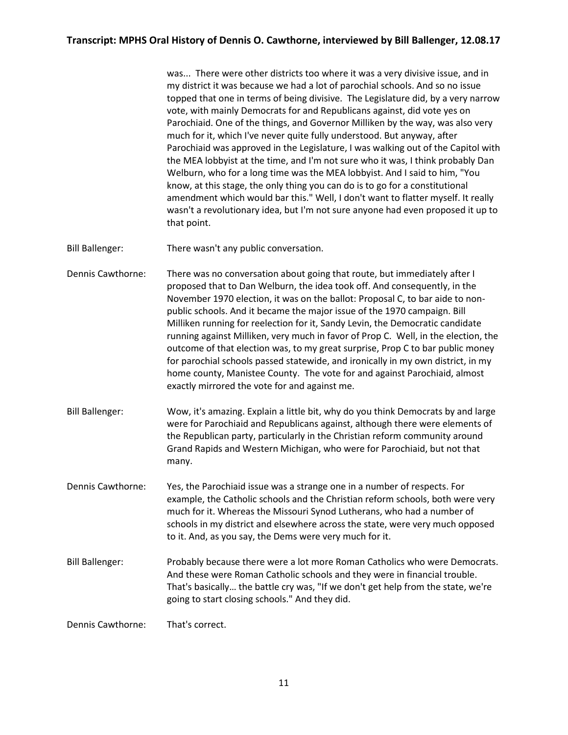was... There were other districts too where it was a very divisive issue, and in my district it was because we had a lot of parochial schools. And so no issue topped that one in terms of being divisive. The Legislature did, by a very narrow vote, with mainly Democrats for and Republicans against, did vote yes on Parochiaid. One of the things, and Governor Milliken by the way, was also very much for it, which I've never quite fully understood. But anyway, after Parochiaid was approved in the Legislature, I was walking out of the Capitol with the MEA lobbyist at the time, and I'm not sure who it was, I think probably Dan Welburn, who for a long time was the MEA lobbyist. And I said to him, "You know, at this stage, the only thing you can do is to go for a constitutional amendment which would bar this." Well, I don't want to flatter myself. It really wasn't a revolutionary idea, but I'm not sure anyone had even proposed it up to that point.

Bill Ballenger: There wasn't any public conversation.

- Dennis Cawthorne: There was no conversation about going that route, but immediately after I proposed that to Dan Welburn, the idea took off. And consequently, in the November 1970 election, it was on the ballot: Proposal C, to bar aide to nonpublic schools. And it became the major issue of the 1970 campaign. Bill Milliken running for reelection for it, Sandy Levin, the Democratic candidate running against Milliken, very much in favor of Prop C. Well, in the election, the outcome of that election was, to my great surprise, Prop C to bar public money for parochial schools passed statewide, and ironically in my own district, in my home county, Manistee County. The vote for and against Parochiaid, almost exactly mirrored the vote for and against me.
- Bill Ballenger: Wow, it's amazing. Explain a little bit, why do you think Democrats by and large were for Parochiaid and Republicans against, although there were elements of the Republican party, particularly in the Christian reform community around Grand Rapids and Western Michigan, who were for Parochiaid, but not that many.
- Dennis Cawthorne: Yes, the Parochiaid issue was a strange one in a number of respects. For example, the Catholic schools and the Christian reform schools, both were very much for it. Whereas the Missouri Synod Lutherans, who had a number of schools in my district and elsewhere across the state, were very much opposed to it. And, as you say, the Dems were very much for it.
- Bill Ballenger: Probably because there were a lot more Roman Catholics who were Democrats. And these were Roman Catholic schools and they were in financial trouble. That's basically… the battle cry was, "If we don't get help from the state, we're going to start closing schools." And they did.

Dennis Cawthorne: That's correct.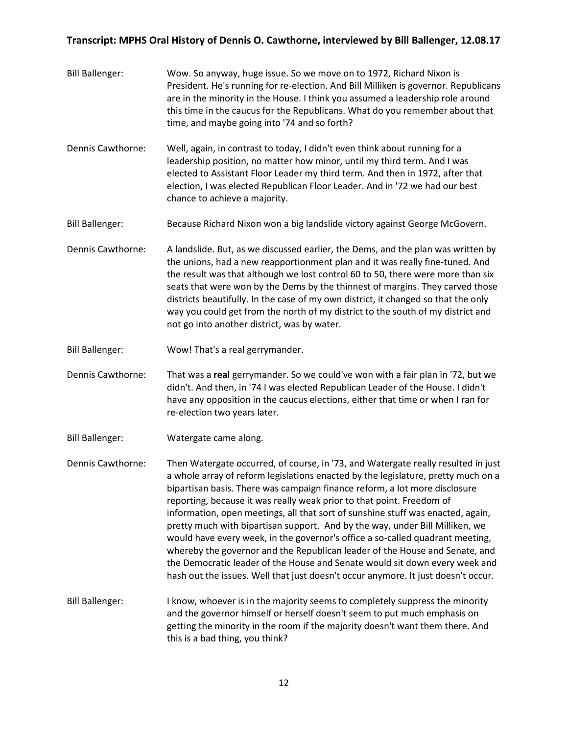- Bill Ballenger: Wow. So anyway, huge issue. So we move on to 1972, Richard Nixon is President. He's running for re-election. And Bill Milliken is governor. Republicans are in the minority in the House. I think you assumed a leadership role around this time in the caucus for the Republicans. What do you remember about that time, and maybe going into '74 and so forth?
- Dennis Cawthorne: Well, again, in contrast to today, I didn't even think about running for a leadership position, no matter how minor, until my third term. And I was elected to Assistant Floor Leader my third term. And then in 1972, after that election, I was elected Republican Floor Leader. And in '72 we had our best chance to achieve a majority.
- Bill Ballenger: Because Richard Nixon won a big landslide victory against George McGovern.
- Dennis Cawthorne: A landslide. But, as we discussed earlier, the Dems, and the plan was written by the unions, had a new reapportionment plan and it was really fine-tuned. And the result was that although we lost control 60 to 50, there were more than six seats that were won by the Dems by the thinnest of margins. They carved those districts beautifully. In the case of my own district, it changed so that the only way you could get from the north of my district to the south of my district and not go into another district, was by water.
- Bill Ballenger: Wow! That's a real gerrymander.
- Dennis Cawthorne: That was a **real** gerrymander. So we could've won with a fair plan in '72, but we didn't. And then, in '74 I was elected Republican Leader of the House. I didn't have any opposition in the caucus elections, either that time or when I ran for re-election two years later.
- Bill Ballenger: Watergate came along.
- Dennis Cawthorne: Then Watergate occurred, of course, in '73, and Watergate really resulted in just a whole array of reform legislations enacted by the legislature, pretty much on a bipartisan basis. There was campaign finance reform, a lot more disclosure reporting, because it was really weak prior to that point. Freedom of information, open meetings, all that sort of sunshine stuff was enacted, again, pretty much with bipartisan support. And by the way, under Bill Milliken, we would have every week, in the governor's office a so-called quadrant meeting, whereby the governor and the Republican leader of the House and Senate, and the Democratic leader of the House and Senate would sit down every week and hash out the issues. Well that just doesn't occur anymore. It just doesn't occur.
- Bill Ballenger: I know, whoever is in the majority seems to completely suppress the minority and the governor himself or herself doesn't seem to put much emphasis on getting the minority in the room if the majority doesn't want them there. And this is a bad thing, you think?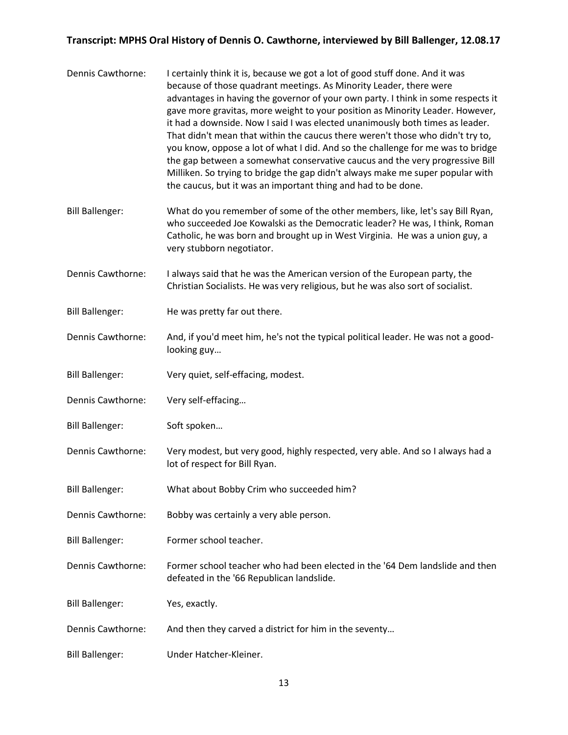| Dennis Cawthorne:      | I certainly think it is, because we got a lot of good stuff done. And it was<br>because of those quadrant meetings. As Minority Leader, there were<br>advantages in having the governor of your own party. I think in some respects it<br>gave more gravitas, more weight to your position as Minority Leader. However,<br>it had a downside. Now I said I was elected unanimously both times as leader.<br>That didn't mean that within the caucus there weren't those who didn't try to,<br>you know, oppose a lot of what I did. And so the challenge for me was to bridge<br>the gap between a somewhat conservative caucus and the very progressive Bill<br>Milliken. So trying to bridge the gap didn't always make me super popular with<br>the caucus, but it was an important thing and had to be done. |
|------------------------|------------------------------------------------------------------------------------------------------------------------------------------------------------------------------------------------------------------------------------------------------------------------------------------------------------------------------------------------------------------------------------------------------------------------------------------------------------------------------------------------------------------------------------------------------------------------------------------------------------------------------------------------------------------------------------------------------------------------------------------------------------------------------------------------------------------|
| <b>Bill Ballenger:</b> | What do you remember of some of the other members, like, let's say Bill Ryan,<br>who succeeded Joe Kowalski as the Democratic leader? He was, I think, Roman<br>Catholic, he was born and brought up in West Virginia. He was a union guy, a<br>very stubborn negotiator.                                                                                                                                                                                                                                                                                                                                                                                                                                                                                                                                        |
| Dennis Cawthorne:      | I always said that he was the American version of the European party, the<br>Christian Socialists. He was very religious, but he was also sort of socialist.                                                                                                                                                                                                                                                                                                                                                                                                                                                                                                                                                                                                                                                     |
| <b>Bill Ballenger:</b> | He was pretty far out there.                                                                                                                                                                                                                                                                                                                                                                                                                                                                                                                                                                                                                                                                                                                                                                                     |
| Dennis Cawthorne:      | And, if you'd meet him, he's not the typical political leader. He was not a good-<br>looking guy                                                                                                                                                                                                                                                                                                                                                                                                                                                                                                                                                                                                                                                                                                                 |
| <b>Bill Ballenger:</b> | Very quiet, self-effacing, modest.                                                                                                                                                                                                                                                                                                                                                                                                                                                                                                                                                                                                                                                                                                                                                                               |
| Dennis Cawthorne:      | Very self-effacing                                                                                                                                                                                                                                                                                                                                                                                                                                                                                                                                                                                                                                                                                                                                                                                               |
| <b>Bill Ballenger:</b> | Soft spoken                                                                                                                                                                                                                                                                                                                                                                                                                                                                                                                                                                                                                                                                                                                                                                                                      |
| Dennis Cawthorne:      | Very modest, but very good, highly respected, very able. And so I always had a<br>lot of respect for Bill Ryan.                                                                                                                                                                                                                                                                                                                                                                                                                                                                                                                                                                                                                                                                                                  |
| <b>Bill Ballenger:</b> | What about Bobby Crim who succeeded him?                                                                                                                                                                                                                                                                                                                                                                                                                                                                                                                                                                                                                                                                                                                                                                         |
| Dennis Cawthorne:      | Bobby was certainly a very able person.                                                                                                                                                                                                                                                                                                                                                                                                                                                                                                                                                                                                                                                                                                                                                                          |
| <b>Bill Ballenger:</b> | Former school teacher.                                                                                                                                                                                                                                                                                                                                                                                                                                                                                                                                                                                                                                                                                                                                                                                           |
| Dennis Cawthorne:      | Former school teacher who had been elected in the '64 Dem landslide and then<br>defeated in the '66 Republican landslide.                                                                                                                                                                                                                                                                                                                                                                                                                                                                                                                                                                                                                                                                                        |
| <b>Bill Ballenger:</b> | Yes, exactly.                                                                                                                                                                                                                                                                                                                                                                                                                                                                                                                                                                                                                                                                                                                                                                                                    |
| Dennis Cawthorne:      | And then they carved a district for him in the seventy                                                                                                                                                                                                                                                                                                                                                                                                                                                                                                                                                                                                                                                                                                                                                           |
| <b>Bill Ballenger:</b> | Under Hatcher-Kleiner.                                                                                                                                                                                                                                                                                                                                                                                                                                                                                                                                                                                                                                                                                                                                                                                           |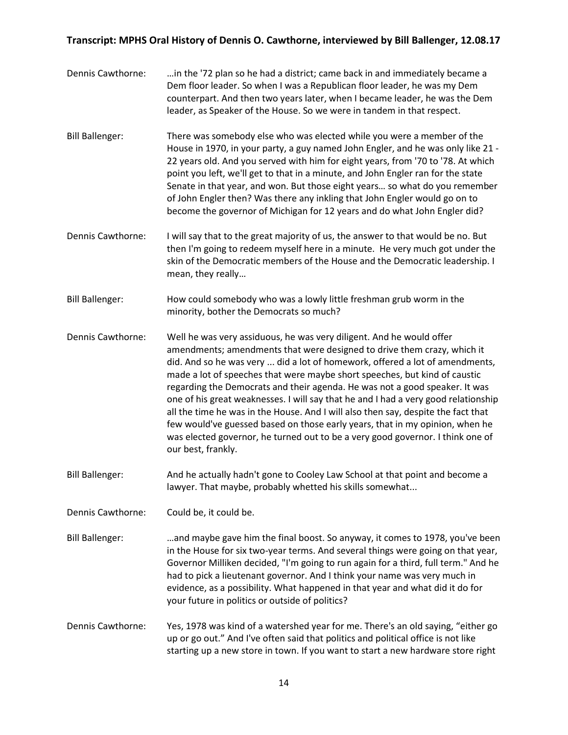| Dennis Cawthorne:      | in the '72 plan so he had a district; came back in and immediately became a<br>Dem floor leader. So when I was a Republican floor leader, he was my Dem<br>counterpart. And then two years later, when I became leader, he was the Dem<br>leader, as Speaker of the House. So we were in tandem in that respect.                                                                                                                                                                                                                                                                                                                                                                                                                                                |
|------------------------|-----------------------------------------------------------------------------------------------------------------------------------------------------------------------------------------------------------------------------------------------------------------------------------------------------------------------------------------------------------------------------------------------------------------------------------------------------------------------------------------------------------------------------------------------------------------------------------------------------------------------------------------------------------------------------------------------------------------------------------------------------------------|
| <b>Bill Ballenger:</b> | There was somebody else who was elected while you were a member of the<br>House in 1970, in your party, a guy named John Engler, and he was only like 21 -<br>22 years old. And you served with him for eight years, from '70 to '78. At which<br>point you left, we'll get to that in a minute, and John Engler ran for the state<br>Senate in that year, and won. But those eight years so what do you remember<br>of John Engler then? Was there any inkling that John Engler would go on to<br>become the governor of Michigan for 12 years and do what John Engler did?                                                                                                                                                                                    |
| Dennis Cawthorne:      | I will say that to the great majority of us, the answer to that would be no. But<br>then I'm going to redeem myself here in a minute. He very much got under the<br>skin of the Democratic members of the House and the Democratic leadership. I<br>mean, they really                                                                                                                                                                                                                                                                                                                                                                                                                                                                                           |
| <b>Bill Ballenger:</b> | How could somebody who was a lowly little freshman grub worm in the<br>minority, bother the Democrats so much?                                                                                                                                                                                                                                                                                                                                                                                                                                                                                                                                                                                                                                                  |
| Dennis Cawthorne:      | Well he was very assiduous, he was very diligent. And he would offer<br>amendments; amendments that were designed to drive them crazy, which it<br>did. And so he was very  did a lot of homework, offered a lot of amendments,<br>made a lot of speeches that were maybe short speeches, but kind of caustic<br>regarding the Democrats and their agenda. He was not a good speaker. It was<br>one of his great weaknesses. I will say that he and I had a very good relationship<br>all the time he was in the House. And I will also then say, despite the fact that<br>few would've guessed based on those early years, that in my opinion, when he<br>was elected governor, he turned out to be a very good governor. I think one of<br>our best, frankly. |
| <b>Bill Ballenger:</b> | And he actually hadn't gone to Cooley Law School at that point and become a<br>lawyer. That maybe, probably whetted his skills somewhat                                                                                                                                                                                                                                                                                                                                                                                                                                                                                                                                                                                                                         |
| Dennis Cawthorne:      | Could be, it could be.                                                                                                                                                                                                                                                                                                                                                                                                                                                                                                                                                                                                                                                                                                                                          |
| <b>Bill Ballenger:</b> | and maybe gave him the final boost. So anyway, it comes to 1978, you've been<br>in the House for six two-year terms. And several things were going on that year,<br>Governor Milliken decided, "I'm going to run again for a third, full term." And he<br>had to pick a lieutenant governor. And I think your name was very much in<br>evidence, as a possibility. What happened in that year and what did it do for<br>your future in politics or outside of politics?                                                                                                                                                                                                                                                                                         |
| Dennis Cawthorne:      | Yes, 1978 was kind of a watershed year for me. There's an old saying, "either go<br>up or go out." And I've often said that politics and political office is not like<br>starting up a new store in town. If you want to start a new hardware store right                                                                                                                                                                                                                                                                                                                                                                                                                                                                                                       |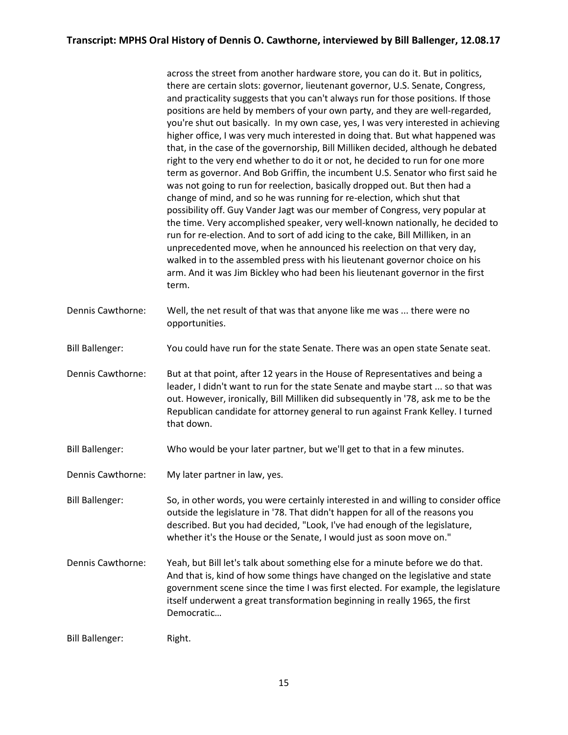across the street from another hardware store, you can do it. But in politics, there are certain slots: governor, lieutenant governor, U.S. Senate, Congress, and practicality suggests that you can't always run for those positions. If those positions are held by members of your own party, and they are well-regarded, you're shut out basically. In my own case, yes, I was very interested in achieving higher office, I was very much interested in doing that. But what happened was that, in the case of the governorship, Bill Milliken decided, although he debated right to the very end whether to do it or not, he decided to run for one more term as governor. And Bob Griffin, the incumbent U.S. Senator who first said he was not going to run for reelection, basically dropped out. But then had a change of mind, and so he was running for re-election, which shut that possibility off. Guy Vander Jagt was our member of Congress, very popular at the time. Very accomplished speaker, very well-known nationally, he decided to run for re-election. And to sort of add icing to the cake, Bill Milliken, in an unprecedented move, when he announced his reelection on that very day, walked in to the assembled press with his lieutenant governor choice on his arm. And it was Jim Bickley who had been his lieutenant governor in the first term.

- Dennis Cawthorne: Well, the net result of that was that anyone like me was ... there were no opportunities.
- Bill Ballenger: You could have run for the state Senate. There was an open state Senate seat.
- Dennis Cawthorne: But at that point, after 12 years in the House of Representatives and being a leader, I didn't want to run for the state Senate and maybe start ... so that was out. However, ironically, Bill Milliken did subsequently in '78, ask me to be the Republican candidate for attorney general to run against Frank Kelley. I turned that down.
- Bill Ballenger: Who would be your later partner, but we'll get to that in a few minutes.
- Dennis Cawthorne: My later partner in law, yes.

Bill Ballenger: So, in other words, you were certainly interested in and willing to consider office outside the legislature in '78. That didn't happen for all of the reasons you described. But you had decided, "Look, I've had enough of the legislature, whether it's the House or the Senate, I would just as soon move on."

Dennis Cawthorne: Yeah, but Bill let's talk about something else for a minute before we do that. And that is, kind of how some things have changed on the legislative and state government scene since the time I was first elected. For example, the legislature itself underwent a great transformation beginning in really 1965, the first Democratic…

Bill Ballenger: Right.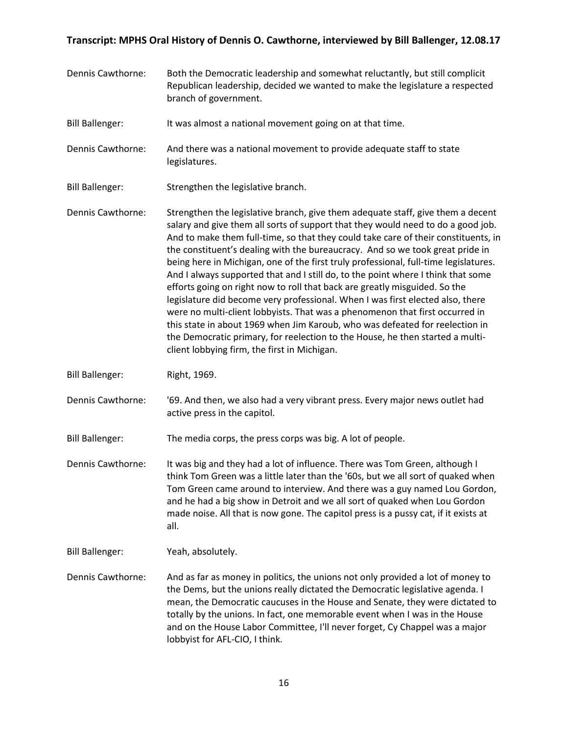- Dennis Cawthorne: Both the Democratic leadership and somewhat reluctantly, but still complicit Republican leadership, decided we wanted to make the legislature a respected branch of government.
- Bill Ballenger: It was almost a national movement going on at that time.
- Dennis Cawthorne: And there was a national movement to provide adequate staff to state legislatures.
- Bill Ballenger: Strengthen the legislative branch.
- Dennis Cawthorne: Strengthen the legislative branch, give them adequate staff, give them a decent salary and give them all sorts of support that they would need to do a good job. And to make them full-time, so that they could take care of their constituents, in the constituent's dealing with the bureaucracy. And so we took great pride in being here in Michigan, one of the first truly professional, full-time legislatures. And I always supported that and I still do, to the point where I think that some efforts going on right now to roll that back are greatly misguided. So the legislature did become very professional. When I was first elected also, there were no multi-client lobbyists. That was a phenomenon that first occurred in this state in about 1969 when Jim Karoub, who was defeated for reelection in the Democratic primary, for reelection to the House, he then started a multiclient lobbying firm, the first in Michigan.
- Bill Ballenger: Right, 1969.
- Dennis Cawthorne: '69. And then, we also had a very vibrant press. Every major news outlet had active press in the capitol.

Bill Ballenger: The media corps, the press corps was big. A lot of people.

- Dennis Cawthorne: It was big and they had a lot of influence. There was Tom Green, although I think Tom Green was a little later than the '60s, but we all sort of quaked when Tom Green came around to interview. And there was a guy named Lou Gordon, and he had a big show in Detroit and we all sort of quaked when Lou Gordon made noise. All that is now gone. The capitol press is a pussy cat, if it exists at all.
- Bill Ballenger: Yeah, absolutely.
- Dennis Cawthorne: And as far as money in politics, the unions not only provided a lot of money to the Dems, but the unions really dictated the Democratic legislative agenda. I mean, the Democratic caucuses in the House and Senate, they were dictated to totally by the unions. In fact, one memorable event when I was in the House and on the House Labor Committee, I'll never forget, Cy Chappel was a major lobbyist for AFL-CIO, I think.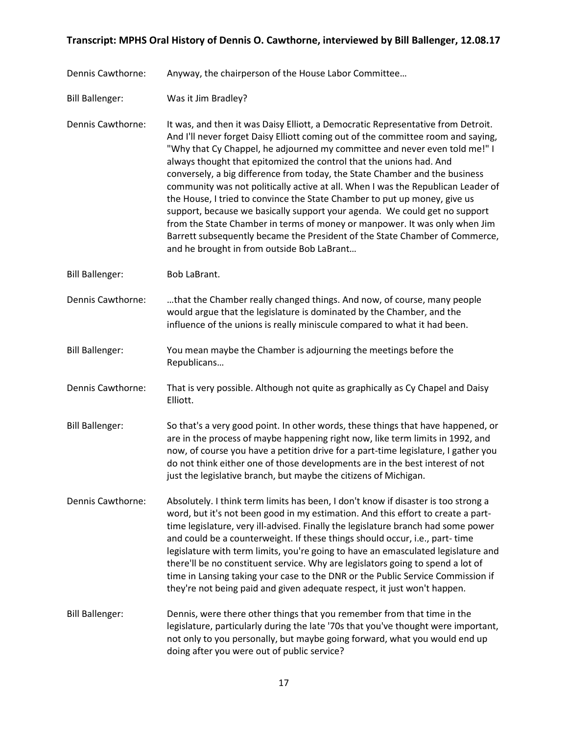Dennis Cawthorne: Anyway, the chairperson of the House Labor Committee…

Bill Ballenger: Was it Jim Bradley?

Dennis Cawthorne: It was, and then it was Daisy Elliott, a Democratic Representative from Detroit. And I'll never forget Daisy Elliott coming out of the committee room and saying, "Why that Cy Chappel, he adjourned my committee and never even told me!" I always thought that epitomized the control that the unions had. And conversely, a big difference from today, the State Chamber and the business community was not politically active at all. When I was the Republican Leader of the House, I tried to convince the State Chamber to put up money, give us support, because we basically support your agenda. We could get no support from the State Chamber in terms of money or manpower. It was only when Jim Barrett subsequently became the President of the State Chamber of Commerce, and he brought in from outside Bob LaBrant…

Bill Ballenger: Bob LaBrant.

Dennis Cawthorne: …that the Chamber really changed things. And now, of course, many people would argue that the legislature is dominated by the Chamber, and the influence of the unions is really miniscule compared to what it had been.

Bill Ballenger: You mean maybe the Chamber is adjourning the meetings before the Republicans…

Dennis Cawthorne: That is very possible. Although not quite as graphically as Cy Chapel and Daisy Elliott.

- Bill Ballenger: So that's a very good point. In other words, these things that have happened, or are in the process of maybe happening right now, like term limits in 1992, and now, of course you have a petition drive for a part-time legislature, I gather you do not think either one of those developments are in the best interest of not just the legislative branch, but maybe the citizens of Michigan.
- Dennis Cawthorne: Absolutely. I think term limits has been, I don't know if disaster is too strong a word, but it's not been good in my estimation. And this effort to create a parttime legislature, very ill-advised. Finally the legislature branch had some power and could be a counterweight. If these things should occur, i.e., part- time legislature with term limits, you're going to have an emasculated legislature and there'll be no constituent service. Why are legislators going to spend a lot of time in Lansing taking your case to the DNR or the Public Service Commission if they're not being paid and given adequate respect, it just won't happen.
- Bill Ballenger: Dennis, were there other things that you remember from that time in the legislature, particularly during the late '70s that you've thought were important, not only to you personally, but maybe going forward, what you would end up doing after you were out of public service?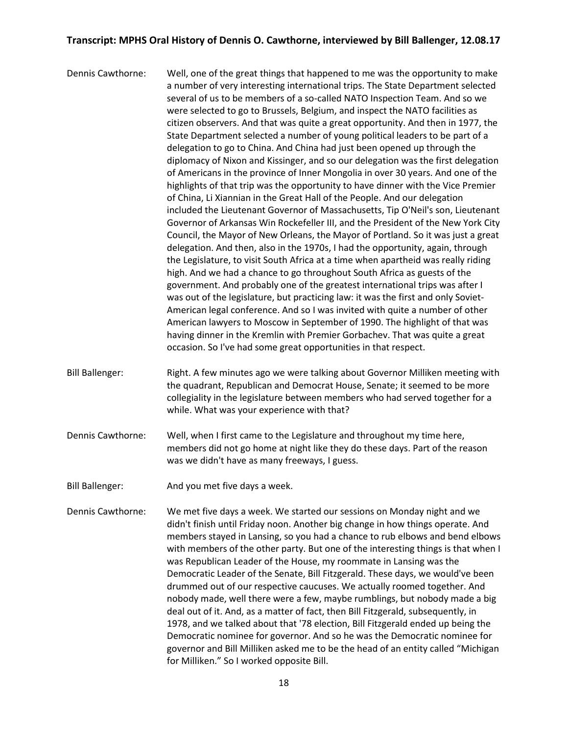- Dennis Cawthorne: Well, one of the great things that happened to me was the opportunity to make a number of very interesting international trips. The State Department selected several of us to be members of a so-called NATO Inspection Team. And so we were selected to go to Brussels, Belgium, and inspect the NATO facilities as citizen observers. And that was quite a great opportunity. And then in 1977, the State Department selected a number of young political leaders to be part of a delegation to go to China. And China had just been opened up through the diplomacy of Nixon and Kissinger, and so our delegation was the first delegation of Americans in the province of Inner Mongolia in over 30 years. And one of the highlights of that trip was the opportunity to have dinner with the Vice Premier of China, Li Xiannian in the Great Hall of the People. And our delegation included the Lieutenant Governor of Massachusetts, Tip O'Neil's son, Lieutenant Governor of Arkansas Win Rockefeller III, and the President of the New York City Council, the Mayor of New Orleans, the Mayor of Portland. So it was just a great delegation. And then, also in the 1970s, I had the opportunity, again, through the Legislature, to visit South Africa at a time when apartheid was really riding high. And we had a chance to go throughout South Africa as guests of the government. And probably one of the greatest international trips was after I was out of the legislature, but practicing law: it was the first and only Soviet-American legal conference. And so I was invited with quite a number of other American lawyers to Moscow in September of 1990. The highlight of that was having dinner in the Kremlin with Premier Gorbachev. That was quite a great occasion. So I've had some great opportunities in that respect.
- Bill Ballenger: Right. A few minutes ago we were talking about Governor Milliken meeting with the quadrant, Republican and Democrat House, Senate; it seemed to be more collegiality in the legislature between members who had served together for a while. What was your experience with that?
- Dennis Cawthorne: Well, when I first came to the Legislature and throughout my time here, members did not go home at night like they do these days. Part of the reason was we didn't have as many freeways, I guess.
- Bill Ballenger: And you met five days a week.
- Dennis Cawthorne: We met five days a week. We started our sessions on Monday night and we didn't finish until Friday noon. Another big change in how things operate. And members stayed in Lansing, so you had a chance to rub elbows and bend elbows with members of the other party. But one of the interesting things is that when I was Republican Leader of the House, my roommate in Lansing was the Democratic Leader of the Senate, Bill Fitzgerald. These days, we would've been drummed out of our respective caucuses. We actually roomed together. And nobody made, well there were a few, maybe rumblings, but nobody made a big deal out of it. And, as a matter of fact, then Bill Fitzgerald, subsequently, in 1978, and we talked about that '78 election, Bill Fitzgerald ended up being the Democratic nominee for governor. And so he was the Democratic nominee for governor and Bill Milliken asked me to be the head of an entity called "Michigan for Milliken." So I worked opposite Bill.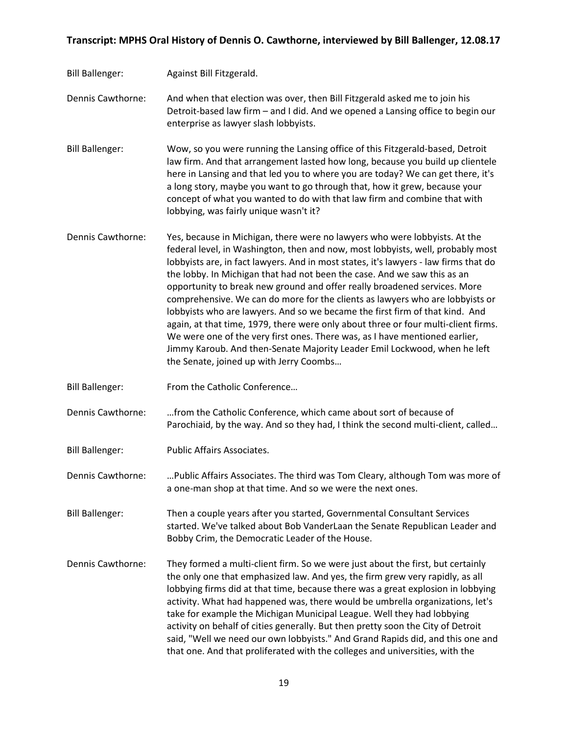Bill Ballenger: Against Bill Fitzgerald.

Dennis Cawthorne: And when that election was over, then Bill Fitzgerald asked me to join his Detroit-based law firm – and I did. And we opened a Lansing office to begin our enterprise as lawyer slash lobbyists.

Bill Ballenger: Wow, so you were running the Lansing office of this Fitzgerald-based, Detroit law firm. And that arrangement lasted how long, because you build up clientele here in Lansing and that led you to where you are today? We can get there, it's a long story, maybe you want to go through that, how it grew, because your concept of what you wanted to do with that law firm and combine that with lobbying, was fairly unique wasn't it?

- Dennis Cawthorne: Yes, because in Michigan, there were no lawyers who were lobbyists. At the federal level, in Washington, then and now, most lobbyists, well, probably most lobbyists are, in fact lawyers. And in most states, it's lawyers - law firms that do the lobby. In Michigan that had not been the case. And we saw this as an opportunity to break new ground and offer really broadened services. More comprehensive. We can do more for the clients as lawyers who are lobbyists or lobbyists who are lawyers. And so we became the first firm of that kind. And again, at that time, 1979, there were only about three or four multi-client firms. We were one of the very first ones. There was, as I have mentioned earlier, Jimmy Karoub. And then-Senate Majority Leader Emil Lockwood, when he left the Senate, joined up with Jerry Coombs…
- Bill Ballenger: From the Catholic Conference…

Dennis Cawthorne: …from the Catholic Conference, which came about sort of because of Parochiaid, by the way. And so they had, I think the second multi-client, called…

Bill Ballenger: Public Affairs Associates.

Dennis Cawthorne: …Public Affairs Associates. The third was Tom Cleary, although Tom was more of a one-man shop at that time. And so we were the next ones.

Bill Ballenger: Then a couple years after you started, Governmental Consultant Services started. We've talked about Bob VanderLaan the Senate Republican Leader and Bobby Crim, the Democratic Leader of the House.

Dennis Cawthorne: They formed a multi-client firm. So we were just about the first, but certainly the only one that emphasized law. And yes, the firm grew very rapidly, as all lobbying firms did at that time, because there was a great explosion in lobbying activity. What had happened was, there would be umbrella organizations, let's take for example the Michigan Municipal League. Well they had lobbying activity on behalf of cities generally. But then pretty soon the City of Detroit said, "Well we need our own lobbyists." And Grand Rapids did, and this one and that one. And that proliferated with the colleges and universities, with the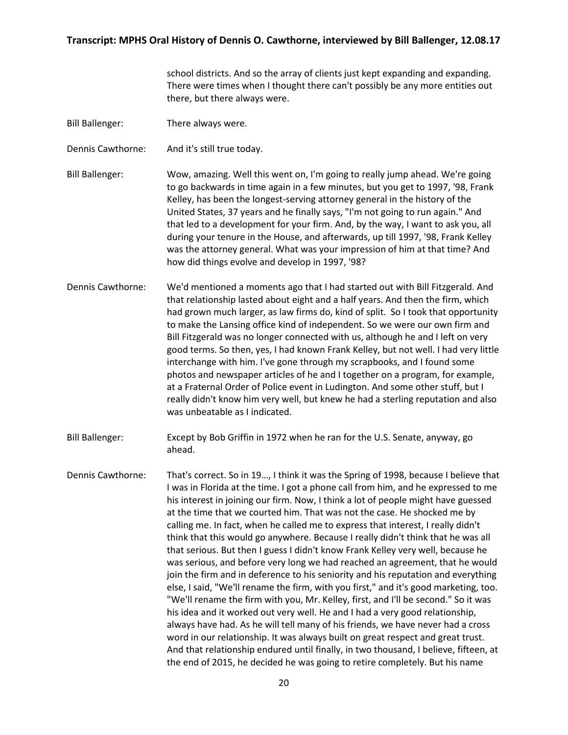school districts. And so the array of clients just kept expanding and expanding. There were times when I thought there can't possibly be any more entities out there, but there always were.

- Bill Ballenger: There always were.
- Dennis Cawthorne: And it's still true today.
- Bill Ballenger: Wow, amazing. Well this went on, I'm going to really jump ahead. We're going to go backwards in time again in a few minutes, but you get to 1997, '98, Frank Kelley, has been the longest-serving attorney general in the history of the United States, 37 years and he finally says, "I'm not going to run again." And that led to a development for your firm. And, by the way, I want to ask you, all during your tenure in the House, and afterwards, up till 1997, '98, Frank Kelley was the attorney general. What was your impression of him at that time? And how did things evolve and develop in 1997, '98?
- Dennis Cawthorne: We'd mentioned a moments ago that I had started out with Bill Fitzgerald. And that relationship lasted about eight and a half years. And then the firm, which had grown much larger, as law firms do, kind of split. So I took that opportunity to make the Lansing office kind of independent. So we were our own firm and Bill Fitzgerald was no longer connected with us, although he and I left on very good terms. So then, yes, I had known Frank Kelley, but not well. I had very little interchange with him. I've gone through my scrapbooks, and I found some photos and newspaper articles of he and I together on a program, for example, at a Fraternal Order of Police event in Ludington. And some other stuff, but I really didn't know him very well, but knew he had a sterling reputation and also was unbeatable as I indicated.
- Bill Ballenger: Except by Bob Griffin in 1972 when he ran for the U.S. Senate, anyway, go ahead.
- Dennis Cawthorne: That's correct. So in 19…, I think it was the Spring of 1998, because I believe that I was in Florida at the time. I got a phone call from him, and he expressed to me his interest in joining our firm. Now, I think a lot of people might have guessed at the time that we courted him. That was not the case. He shocked me by calling me. In fact, when he called me to express that interest, I really didn't think that this would go anywhere. Because I really didn't think that he was all that serious. But then I guess I didn't know Frank Kelley very well, because he was serious, and before very long we had reached an agreement, that he would join the firm and in deference to his seniority and his reputation and everything else, I said, "We'll rename the firm, with you first," and it's good marketing, too. "We'll rename the firm with you, Mr. Kelley, first, and I'll be second." So it was his idea and it worked out very well. He and I had a very good relationship, always have had. As he will tell many of his friends, we have never had a cross word in our relationship. It was always built on great respect and great trust. And that relationship endured until finally, in two thousand, I believe, fifteen, at the end of 2015, he decided he was going to retire completely. But his name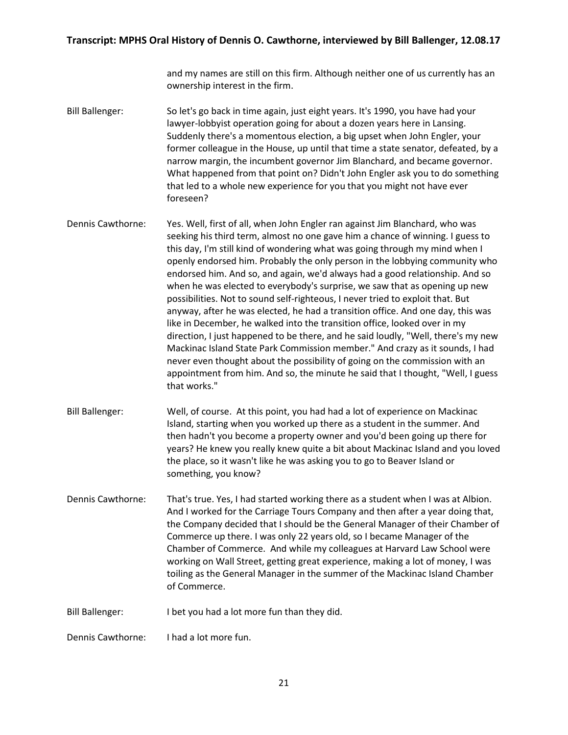and my names are still on this firm. Although neither one of us currently has an ownership interest in the firm.

- Bill Ballenger: So let's go back in time again, just eight years. It's 1990, you have had your lawyer-lobbyist operation going for about a dozen years here in Lansing. Suddenly there's a momentous election, a big upset when John Engler, your former colleague in the House, up until that time a state senator, defeated, by a narrow margin, the incumbent governor Jim Blanchard, and became governor. What happened from that point on? Didn't John Engler ask you to do something that led to a whole new experience for you that you might not have ever foreseen?
- Dennis Cawthorne: Yes. Well, first of all, when John Engler ran against Jim Blanchard, who was seeking his third term, almost no one gave him a chance of winning. I guess to this day, I'm still kind of wondering what was going through my mind when I openly endorsed him. Probably the only person in the lobbying community who endorsed him. And so, and again, we'd always had a good relationship. And so when he was elected to everybody's surprise, we saw that as opening up new possibilities. Not to sound self-righteous, I never tried to exploit that. But anyway, after he was elected, he had a transition office. And one day, this was like in December, he walked into the transition office, looked over in my direction, I just happened to be there, and he said loudly, "Well, there's my new Mackinac Island State Park Commission member." And crazy as it sounds, I had never even thought about the possibility of going on the commission with an appointment from him. And so, the minute he said that I thought, "Well, I guess that works."
- Bill Ballenger: Well, of course. At this point, you had had a lot of experience on Mackinac Island, starting when you worked up there as a student in the summer. And then hadn't you become a property owner and you'd been going up there for years? He knew you really knew quite a bit about Mackinac Island and you loved the place, so it wasn't like he was asking you to go to Beaver Island or something, you know?
- Dennis Cawthorne: That's true. Yes, I had started working there as a student when I was at Albion. And I worked for the Carriage Tours Company and then after a year doing that, the Company decided that I should be the General Manager of their Chamber of Commerce up there. I was only 22 years old, so I became Manager of the Chamber of Commerce. And while my colleagues at Harvard Law School were working on Wall Street, getting great experience, making a lot of money, I was toiling as the General Manager in the summer of the Mackinac Island Chamber of Commerce.
- Bill Ballenger: I bet you had a lot more fun than they did.

Dennis Cawthorne: I had a lot more fun.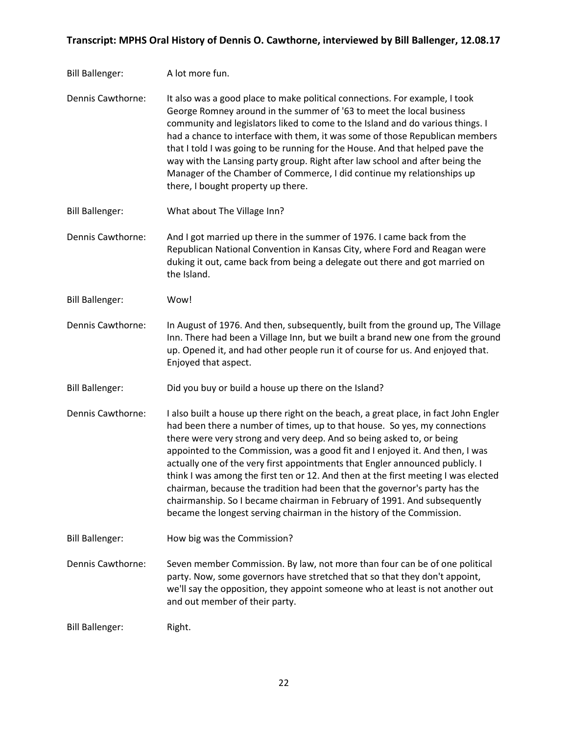- Bill Ballenger: A lot more fun.
- Dennis Cawthorne: It also was a good place to make political connections. For example, I took George Romney around in the summer of '63 to meet the local business community and legislators liked to come to the Island and do various things. I had a chance to interface with them, it was some of those Republican members that I told I was going to be running for the House. And that helped pave the way with the Lansing party group. Right after law school and after being the Manager of the Chamber of Commerce, I did continue my relationships up there, I bought property up there.
- Bill Ballenger: What about The Village Inn?

Dennis Cawthorne: And I got married up there in the summer of 1976. I came back from the Republican National Convention in Kansas City, where Ford and Reagan were duking it out, came back from being a delegate out there and got married on the Island.

- Bill Ballenger: Wow!
- Dennis Cawthorne: In August of 1976. And then, subsequently, built from the ground up, The Village Inn. There had been a Village Inn, but we built a brand new one from the ground up. Opened it, and had other people run it of course for us. And enjoyed that. Enjoyed that aspect.
- Bill Ballenger: Did you buy or build a house up there on the Island?
- Dennis Cawthorne: I also built a house up there right on the beach, a great place, in fact John Engler had been there a number of times, up to that house. So yes, my connections there were very strong and very deep. And so being asked to, or being appointed to the Commission, was a good fit and I enjoyed it. And then, I was actually one of the very first appointments that Engler announced publicly. I think I was among the first ten or 12. And then at the first meeting I was elected chairman, because the tradition had been that the governor's party has the chairmanship. So I became chairman in February of 1991. And subsequently became the longest serving chairman in the history of the Commission.
- Bill Ballenger: How big was the Commission?
- Dennis Cawthorne: Seven member Commission. By law, not more than four can be of one political party. Now, some governors have stretched that so that they don't appoint, we'll say the opposition, they appoint someone who at least is not another out and out member of their party.

Bill Ballenger: Right.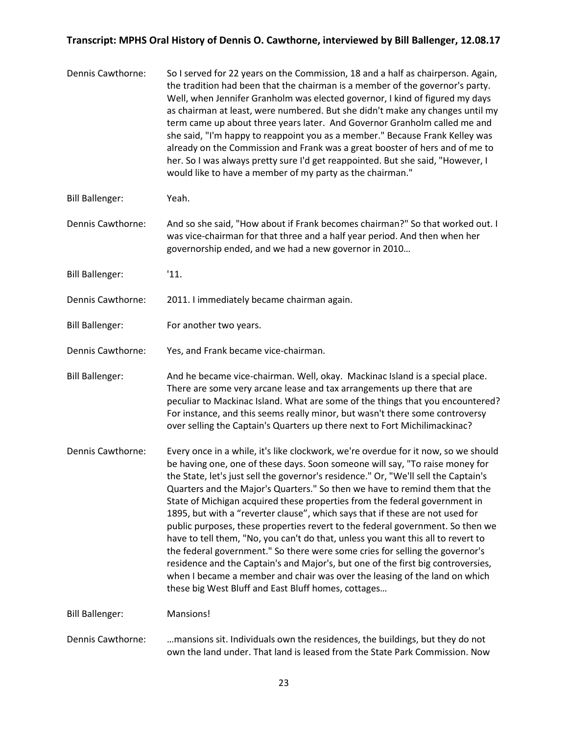| Dennis Cawthorne:      | So I served for 22 years on the Commission, 18 and a half as chairperson. Again,<br>the tradition had been that the chairman is a member of the governor's party.<br>Well, when Jennifer Granholm was elected governor, I kind of figured my days<br>as chairman at least, were numbered. But she didn't make any changes until my<br>term came up about three years later. And Governor Granholm called me and<br>she said, "I'm happy to reappoint you as a member." Because Frank Kelley was<br>already on the Commission and Frank was a great booster of hers and of me to<br>her. So I was always pretty sure I'd get reappointed. But she said, "However, I<br>would like to have a member of my party as the chairman."                                                                                                                                                                                                                                                        |
|------------------------|----------------------------------------------------------------------------------------------------------------------------------------------------------------------------------------------------------------------------------------------------------------------------------------------------------------------------------------------------------------------------------------------------------------------------------------------------------------------------------------------------------------------------------------------------------------------------------------------------------------------------------------------------------------------------------------------------------------------------------------------------------------------------------------------------------------------------------------------------------------------------------------------------------------------------------------------------------------------------------------|
| <b>Bill Ballenger:</b> | Yeah.                                                                                                                                                                                                                                                                                                                                                                                                                                                                                                                                                                                                                                                                                                                                                                                                                                                                                                                                                                                  |
| Dennis Cawthorne:      | And so she said, "How about if Frank becomes chairman?" So that worked out. I<br>was vice-chairman for that three and a half year period. And then when her<br>governorship ended, and we had a new governor in 2010                                                                                                                                                                                                                                                                                                                                                                                                                                                                                                                                                                                                                                                                                                                                                                   |
| <b>Bill Ballenger:</b> | '11.                                                                                                                                                                                                                                                                                                                                                                                                                                                                                                                                                                                                                                                                                                                                                                                                                                                                                                                                                                                   |
| Dennis Cawthorne:      | 2011. I immediately became chairman again.                                                                                                                                                                                                                                                                                                                                                                                                                                                                                                                                                                                                                                                                                                                                                                                                                                                                                                                                             |
| <b>Bill Ballenger:</b> | For another two years.                                                                                                                                                                                                                                                                                                                                                                                                                                                                                                                                                                                                                                                                                                                                                                                                                                                                                                                                                                 |
| Dennis Cawthorne:      | Yes, and Frank became vice-chairman.                                                                                                                                                                                                                                                                                                                                                                                                                                                                                                                                                                                                                                                                                                                                                                                                                                                                                                                                                   |
| <b>Bill Ballenger:</b> | And he became vice-chairman. Well, okay. Mackinac Island is a special place.<br>There are some very arcane lease and tax arrangements up there that are<br>peculiar to Mackinac Island. What are some of the things that you encountered?<br>For instance, and this seems really minor, but wasn't there some controversy<br>over selling the Captain's Quarters up there next to Fort Michilimackinac?                                                                                                                                                                                                                                                                                                                                                                                                                                                                                                                                                                                |
| Dennis Cawthorne:      | Every once in a while, it's like clockwork, we're overdue for it now, so we should<br>be having one, one of these days. Soon someone will say, "To raise money for<br>the State, let's just sell the governor's residence." Or, "We'll sell the Captain's<br>Quarters and the Major's Quarters." So then we have to remind them that the<br>State of Michigan acquired these properties from the federal government in<br>1895, but with a "reverter clause", which says that if these are not used for<br>public purposes, these properties revert to the federal government. So then we<br>have to tell them, "No, you can't do that, unless you want this all to revert to<br>the federal government." So there were some cries for selling the governor's<br>residence and the Captain's and Major's, but one of the first big controversies,<br>when I became a member and chair was over the leasing of the land on which<br>these big West Bluff and East Bluff homes, cottages |
| <b>Bill Ballenger:</b> | Mansions!                                                                                                                                                                                                                                                                                                                                                                                                                                                                                                                                                                                                                                                                                                                                                                                                                                                                                                                                                                              |
| Dennis Cawthorne:      | mansions sit. Individuals own the residences, the buildings, but they do not<br>own the land under. That land is leased from the State Park Commission. Now                                                                                                                                                                                                                                                                                                                                                                                                                                                                                                                                                                                                                                                                                                                                                                                                                            |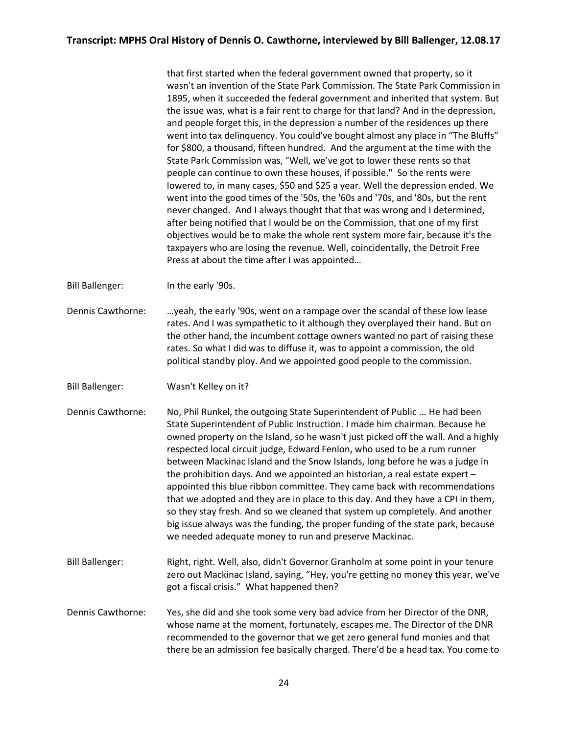that first started when the federal government owned that property, so it wasn't an invention of the State Park Commission. The State Park Commission in 1895, when it succeeded the federal government and inherited that system. But the issue was, what is a fair rent to charge for that land? And in the depression, and people forget this, in the depression a number of the residences up there went into tax delinquency. You could've bought almost any place in "The Bluffs" for \$800, a thousand, fifteen hundred. And the argument at the time with the State Park Commission was, "Well, we've got to lower these rents so that people can continue to own these houses, if possible." So the rents were lowered to, in many cases, \$50 and \$25 a year. Well the depression ended. We went into the good times of the '50s, the '60s and '70s, and '80s, but the rent never changed. And I always thought that that was wrong and I determined, after being notified that I would be on the Commission, that one of my first objectives would be to make the whole rent system more fair, because it's the taxpayers who are losing the revenue. Well, coincidentally, the Detroit Free Press at about the time after I was appointed…

Bill Ballenger: In the early '90s.

Dennis Cawthorne: …yeah, the early '90s, went on a rampage over the scandal of these low lease rates. And I was sympathetic to it although they overplayed their hand. But on the other hand, the incumbent cottage owners wanted no part of raising these rates. So what I did was to diffuse it, was to appoint a commission, the old political standby ploy. And we appointed good people to the commission.

Bill Ballenger: Wasn't Kelley on it?

- Dennis Cawthorne: No, Phil Runkel, the outgoing State Superintendent of Public ... He had been State Superintendent of Public Instruction. I made him chairman. Because he owned property on the Island, so he wasn't just picked off the wall. And a highly respected local circuit judge, Edward Fenlon, who used to be a rum runner between Mackinac Island and the Snow Islands, long before he was a judge in the prohibition days. And we appointed an historian, a real estate expert – appointed this blue ribbon committee. They came back with recommendations that we adopted and they are in place to this day. And they have a CPI in them, so they stay fresh. And so we cleaned that system up completely. And another big issue always was the funding, the proper funding of the state park, because we needed adequate money to run and preserve Mackinac.
- Bill Ballenger: Right, right. Well, also, didn't Governor Granholm at some point in your tenure zero out Mackinac Island, saying, "Hey, you're getting no money this year, we've got a fiscal crisis." What happened then?
- Dennis Cawthorne: Yes, she did and she took some very bad advice from her Director of the DNR, whose name at the moment, fortunately, escapes me. The Director of the DNR recommended to the governor that we get zero general fund monies and that there be an admission fee basically charged. There'd be a head tax. You come to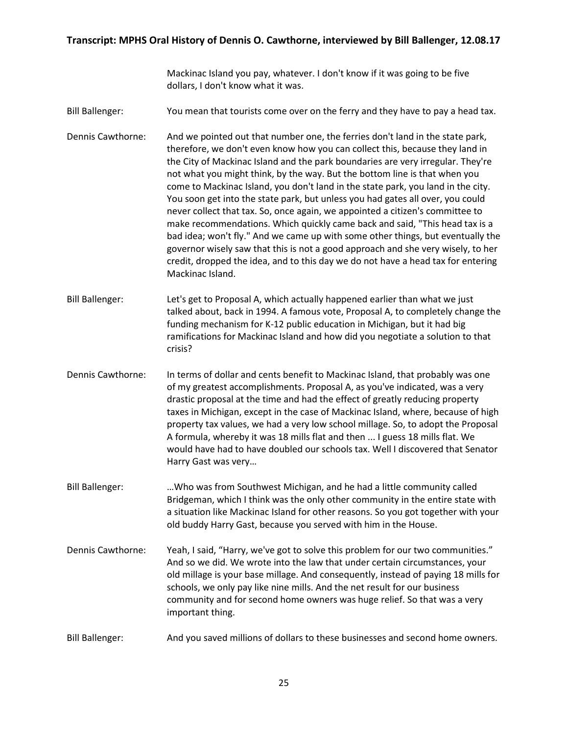Mackinac Island you pay, whatever. I don't know if it was going to be five dollars, I don't know what it was.

- Bill Ballenger: You mean that tourists come over on the ferry and they have to pay a head tax.
- Dennis Cawthorne: And we pointed out that number one, the ferries don't land in the state park, therefore, we don't even know how you can collect this, because they land in the City of Mackinac Island and the park boundaries are very irregular. They're not what you might think, by the way. But the bottom line is that when you come to Mackinac Island, you don't land in the state park, you land in the city. You soon get into the state park, but unless you had gates all over, you could never collect that tax. So, once again, we appointed a citizen's committee to make recommendations. Which quickly came back and said, "This head tax is a bad idea; won't fly." And we came up with some other things, but eventually the governor wisely saw that this is not a good approach and she very wisely, to her credit, dropped the idea, and to this day we do not have a head tax for entering Mackinac Island.
- Bill Ballenger: Let's get to Proposal A, which actually happened earlier than what we just talked about, back in 1994. A famous vote, Proposal A, to completely change the funding mechanism for K-12 public education in Michigan, but it had big ramifications for Mackinac Island and how did you negotiate a solution to that crisis?
- Dennis Cawthorne: In terms of dollar and cents benefit to Mackinac Island, that probably was one of my greatest accomplishments. Proposal A, as you've indicated, was a very drastic proposal at the time and had the effect of greatly reducing property taxes in Michigan, except in the case of Mackinac Island, where, because of high property tax values, we had a very low school millage. So, to adopt the Proposal A formula, whereby it was 18 mills flat and then ... I guess 18 mills flat. We would have had to have doubled our schools tax. Well I discovered that Senator Harry Gast was very…
- Bill Ballenger: …Who was from Southwest Michigan, and he had a little community called Bridgeman, which I think was the only other community in the entire state with a situation like Mackinac Island for other reasons. So you got together with your old buddy Harry Gast, because you served with him in the House.
- Dennis Cawthorne: Yeah, I said, "Harry, we've got to solve this problem for our two communities." And so we did. We wrote into the law that under certain circumstances, your old millage is your base millage. And consequently, instead of paying 18 mills for schools, we only pay like nine mills. And the net result for our business community and for second home owners was huge relief. So that was a very important thing.
- Bill Ballenger: And you saved millions of dollars to these businesses and second home owners.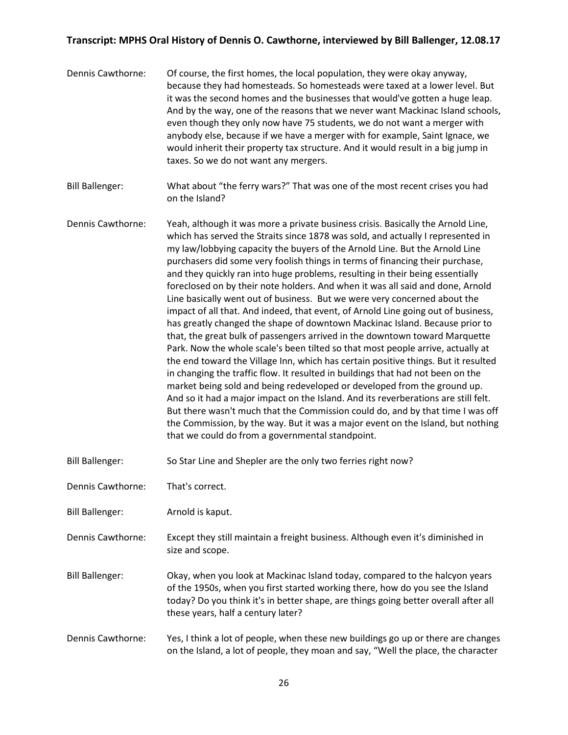- Dennis Cawthorne: Of course, the first homes, the local population, they were okay anyway, because they had homesteads. So homesteads were taxed at a lower level. But it was the second homes and the businesses that would've gotten a huge leap. And by the way, one of the reasons that we never want Mackinac Island schools, even though they only now have 75 students, we do not want a merger with anybody else, because if we have a merger with for example, Saint Ignace, we would inherit their property tax structure. And it would result in a big jump in taxes. So we do not want any mergers.
- Bill Ballenger: What about "the ferry wars?" That was one of the most recent crises you had on the Island?
- Dennis Cawthorne: Yeah, although it was more a private business crisis. Basically the Arnold Line, which has served the Straits since 1878 was sold, and actually I represented in my law/lobbying capacity the buyers of the Arnold Line. But the Arnold Line purchasers did some very foolish things in terms of financing their purchase, and they quickly ran into huge problems, resulting in their being essentially foreclosed on by their note holders. And when it was all said and done, Arnold Line basically went out of business. But we were very concerned about the impact of all that. And indeed, that event, of Arnold Line going out of business, has greatly changed the shape of downtown Mackinac Island. Because prior to that, the great bulk of passengers arrived in the downtown toward Marquette Park. Now the whole scale's been tilted so that most people arrive, actually at the end toward the Village Inn, which has certain positive things. But it resulted in changing the traffic flow. It resulted in buildings that had not been on the market being sold and being redeveloped or developed from the ground up. And so it had a major impact on the Island. And its reverberations are still felt. But there wasn't much that the Commission could do, and by that time I was off the Commission, by the way. But it was a major event on the Island, but nothing that we could do from a governmental standpoint.
- Bill Ballenger: So Star Line and Shepler are the only two ferries right now?
- Dennis Cawthorne: That's correct.
- Bill Ballenger: Arnold is kaput.
- Dennis Cawthorne: Except they still maintain a freight business. Although even it's diminished in size and scope.
- Bill Ballenger: Okay, when you look at Mackinac Island today, compared to the halcyon years of the 1950s, when you first started working there, how do you see the Island today? Do you think it's in better shape, are things going better overall after all these years, half a century later?
- Dennis Cawthorne: Yes, I think a lot of people, when these new buildings go up or there are changes on the Island, a lot of people, they moan and say, "Well the place, the character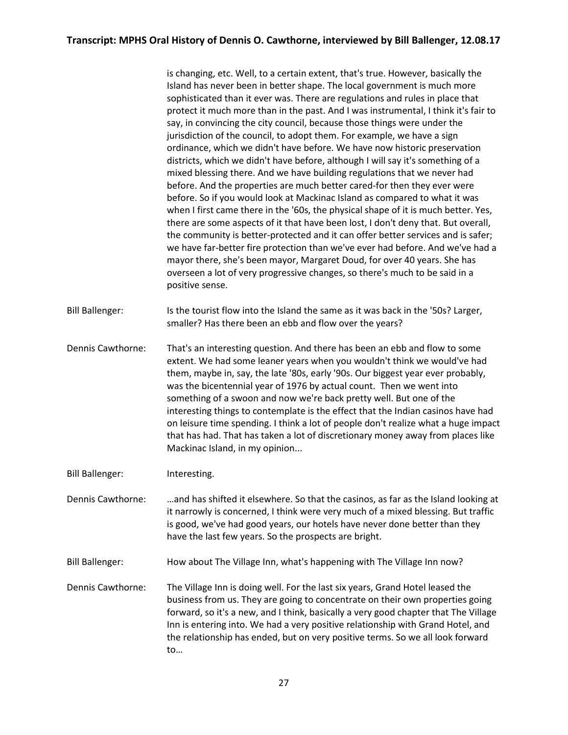is changing, etc. Well, to a certain extent, that's true. However, basically the Island has never been in better shape. The local government is much more sophisticated than it ever was. There are regulations and rules in place that protect it much more than in the past. And I was instrumental, I think it's fair to say, in convincing the city council, because those things were under the jurisdiction of the council, to adopt them. For example, we have a sign ordinance, which we didn't have before. We have now historic preservation districts, which we didn't have before, although I will say it's something of a mixed blessing there. And we have building regulations that we never had before. And the properties are much better cared-for then they ever were before. So if you would look at Mackinac Island as compared to what it was when I first came there in the '60s, the physical shape of it is much better. Yes, there are some aspects of it that have been lost, I don't deny that. But overall, the community is better-protected and it can offer better services and is safer; we have far-better fire protection than we've ever had before. And we've had a mayor there, she's been mayor, Margaret Doud, for over 40 years. She has overseen a lot of very progressive changes, so there's much to be said in a positive sense.

Bill Ballenger: Is the tourist flow into the Island the same as it was back in the '50s? Larger, smaller? Has there been an ebb and flow over the years?

Dennis Cawthorne: That's an interesting question. And there has been an ebb and flow to some extent. We had some leaner years when you wouldn't think we would've had them, maybe in, say, the late '80s, early '90s. Our biggest year ever probably, was the bicentennial year of 1976 by actual count. Then we went into something of a swoon and now we're back pretty well. But one of the interesting things to contemplate is the effect that the Indian casinos have had on leisure time spending. I think a lot of people don't realize what a huge impact that has had. That has taken a lot of discretionary money away from places like Mackinac Island, in my opinion...

- Bill Ballenger: Interesting.
- Dennis Cawthorne: …and has shifted it elsewhere. So that the casinos, as far as the Island looking at it narrowly is concerned, I think were very much of a mixed blessing. But traffic is good, we've had good years, our hotels have never done better than they have the last few years. So the prospects are bright.
- Bill Ballenger: How about The Village Inn, what's happening with The Village Inn now?
- Dennis Cawthorne: The Village Inn is doing well. For the last six years, Grand Hotel leased the business from us. They are going to concentrate on their own properties going forward, so it's a new, and I think, basically a very good chapter that The Village Inn is entering into. We had a very positive relationship with Grand Hotel, and the relationship has ended, but on very positive terms. So we all look forward to…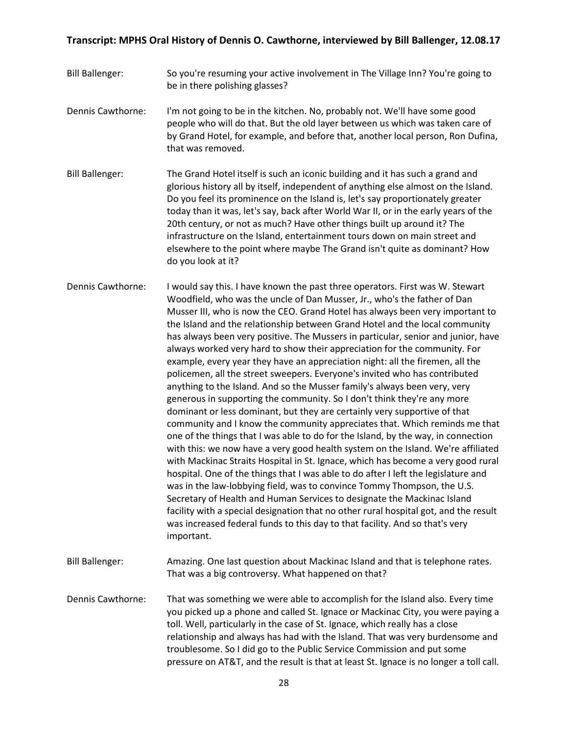- Bill Ballenger: So you're resuming your active involvement in The Village Inn? You're going to be in there polishing glasses?
- Dennis Cawthorne: I'm not going to be in the kitchen. No, probably not. We'll have some good people who will do that. But the old layer between us which was taken care of by Grand Hotel, for example, and before that, another local person, Ron Dufina, that was removed.
- Bill Ballenger: The Grand Hotel itself is such an iconic building and it has such a grand and glorious history all by itself, independent of anything else almost on the Island. Do you feel its prominence on the Island is, let's say proportionately greater today than it was, let's say, back after World War II, or in the early years of the 20th century, or not as much? Have other things built up around it? The infrastructure on the Island, entertainment tours down on main street and elsewhere to the point where maybe The Grand isn't quite as dominant? How do you look at it?
- Dennis Cawthorne: I would say this. I have known the past three operators. First was W. Stewart Woodfield, who was the uncle of Dan Musser, Jr., who's the father of Dan Musser III, who is now the CEO. Grand Hotel has always been very important to the Island and the relationship between Grand Hotel and the local community has always been very positive. The Mussers in particular, senior and junior, have always worked very hard to show their appreciation for the community. For example, every year they have an appreciation night: all the firemen, all the policemen, all the street sweepers. Everyone's invited who has contributed anything to the Island. And so the Musser family's always been very, very generous in supporting the community. So I don't think they're any more dominant or less dominant, but they are certainly very supportive of that community and I know the community appreciates that. Which reminds me that one of the things that I was able to do for the Island, by the way, in connection with this: we now have a very good health system on the Island. We're affiliated with Mackinac Straits Hospital in St. Ignace, which has become a very good rural hospital. One of the things that I was able to do after I left the legislature and was in the law-lobbying field, was to convince Tommy Thompson, the U.S. Secretary of Health and Human Services to designate the Mackinac Island facility with a special designation that no other rural hospital got, and the result was increased federal funds to this day to that facility. And so that's very important.
- Bill Ballenger: Amazing. One last question about Mackinac Island and that is telephone rates. That was a big controversy. What happened on that?
- Dennis Cawthorne: That was something we were able to accomplish for the Island also. Every time you picked up a phone and called St. Ignace or Mackinac City, you were paying a toll. Well, particularly in the case of St. Ignace, which really has a close relationship and always has had with the Island. That was very burdensome and troublesome. So I did go to the Public Service Commission and put some pressure on AT&T, and the result is that at least St. Ignace is no longer a toll call.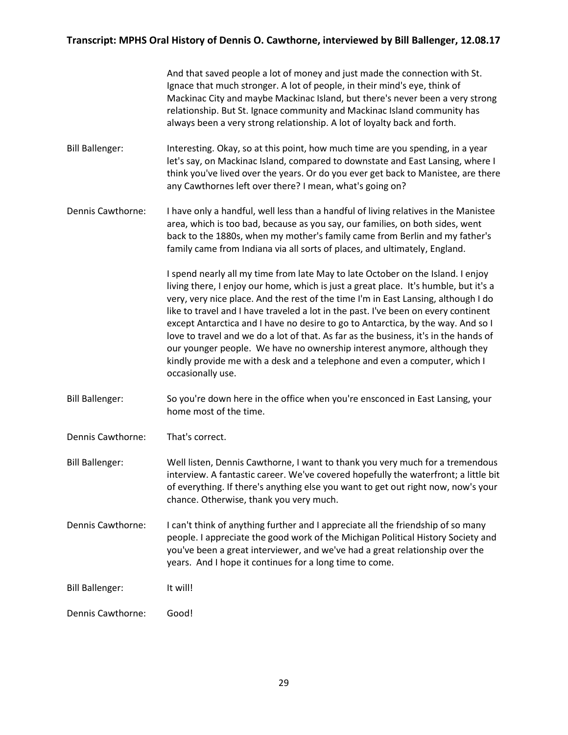And that saved people a lot of money and just made the connection with St. Ignace that much stronger. A lot of people, in their mind's eye, think of Mackinac City and maybe Mackinac Island, but there's never been a very strong relationship. But St. Ignace community and Mackinac Island community has always been a very strong relationship. A lot of loyalty back and forth.

- Bill Ballenger: Interesting. Okay, so at this point, how much time are you spending, in a year let's say, on Mackinac Island, compared to downstate and East Lansing, where I think you've lived over the years. Or do you ever get back to Manistee, are there any Cawthornes left over there? I mean, what's going on?
- Dennis Cawthorne: I have only a handful, well less than a handful of living relatives in the Manistee area, which is too bad, because as you say, our families, on both sides, went back to the 1880s, when my mother's family came from Berlin and my father's family came from Indiana via all sorts of places, and ultimately, England.

I spend nearly all my time from late May to late October on the Island. I enjoy living there, I enjoy our home, which is just a great place. It's humble, but it's a very, very nice place. And the rest of the time I'm in East Lansing, although I do like to travel and I have traveled a lot in the past. I've been on every continent except Antarctica and I have no desire to go to Antarctica, by the way. And so I love to travel and we do a lot of that. As far as the business, it's in the hands of our younger people. We have no ownership interest anymore, although they kindly provide me with a desk and a telephone and even a computer, which I occasionally use.

- Bill Ballenger: So you're down here in the office when you're ensconced in East Lansing, your home most of the time.
- Dennis Cawthorne: That's correct.
- Bill Ballenger: Well listen, Dennis Cawthorne, I want to thank you very much for a tremendous interview. A fantastic career. We've covered hopefully the waterfront; a little bit of everything. If there's anything else you want to get out right now, now's your chance. Otherwise, thank you very much.
- Dennis Cawthorne: I can't think of anything further and I appreciate all the friendship of so many people. I appreciate the good work of the Michigan Political History Society and you've been a great interviewer, and we've had a great relationship over the years. And I hope it continues for a long time to come.
- Bill Ballenger: It will!
- Dennis Cawthorne: Good!